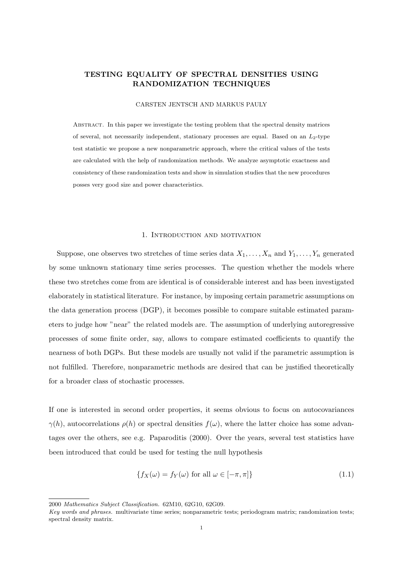# TESTING EQUALITY OF SPECTRAL DENSITIES USING RANDOMIZATION TECHNIQUES

#### CARSTEN JENTSCH AND MARKUS PAULY

Abstract. In this paper we investigate the testing problem that the spectral density matrices of several, not necessarily independent, stationary processes are equal. Based on an  $L_2$ -type test statistic we propose a new nonparametric approach, where the critical values of the tests are calculated with the help of randomization methods. We analyze asymptotic exactness and consistency of these randomization tests and show in simulation studies that the new procedures posses very good size and power characteristics.

#### 1. Introduction and motivation

Suppose, one observes two stretches of time series data  $X_1, \ldots, X_n$  and  $Y_1, \ldots, Y_n$  generated by some unknown stationary time series processes. The question whether the models where these two stretches come from are identical is of considerable interest and has been investigated elaborately in statistical literature. For instance, by imposing certain parametric assumptions on the data generation process (DGP), it becomes possible to compare suitable estimated parameters to judge how "near" the related models are. The assumption of underlying autoregressive processes of some finite order, say, allows to compare estimated coefficients to quantify the nearness of both DGPs. But these models are usually not valid if the parametric assumption is not fulfilled. Therefore, nonparametric methods are desired that can be justified theoretically for a broader class of stochastic processes.

If one is interested in second order properties, it seems obvious to focus on autocovariances  $\gamma(h)$ , autocorrelations  $\rho(h)$  or spectral densities  $f(\omega)$ , where the latter choice has some advantages over the others, see e.g. Paparoditis (2000). Over the years, several test statistics have been introduced that could be used for testing the null hypothesis

$$
\{f_X(\omega) = f_Y(\omega) \text{ for all } \omega \in [-\pi, \pi] \}
$$
\n(1.1)

<sup>2000</sup> Mathematics Subject Classification. 62M10, 62G10, 62G09.

Key words and phrases. multivariate time series; nonparametric tests; periodogram matrix; randomization tests; spectral density matrix.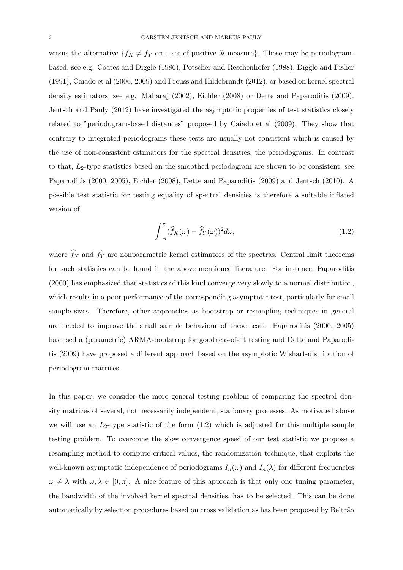versus the alternative  $\{f_X \neq f_Y \}$  on a set of positive  $\lambda$ -measure}. These may be periodogrambased, see e.g. Coates and Diggle (1986), Pötscher and Reschenhofer (1988), Diggle and Fisher (1991), Caiado et al (2006, 2009) and Preuss and Hildebrandt (2012), or based on kernel spectral density estimators, see e.g. Maharaj (2002), Eichler (2008) or Dette and Paparoditis (2009). Jentsch and Pauly (2012) have investigated the asymptotic properties of test statistics closely related to "periodogram-based distances" proposed by Caiado et al (2009). They show that contrary to integrated periodograms these tests are usually not consistent which is caused by the use of non-consistent estimators for the spectral densities, the periodograms. In contrast to that,  $L_2$ -type statistics based on the smoothed periodogram are shown to be consistent, see Paparoditis (2000, 2005), Eichler (2008), Dette and Paparoditis (2009) and Jentsch (2010). A possible test statistic for testing equality of spectral densities is therefore a suitable inflated version of

$$
\int_{-\pi}^{\pi} (\widehat{f}_X(\omega) - \widehat{f}_Y(\omega))^2 d\omega, \tag{1.2}
$$

where  $f_X$  and  $f_Y$  are nonparametric kernel estimators of the spectras. Central limit theorems for such statistics can be found in the above mentioned literature. For instance, Paparoditis (2000) has emphasized that statistics of this kind converge very slowly to a normal distribution, which results in a poor performance of the corresponding asymptotic test, particularly for small sample sizes. Therefore, other approaches as bootstrap or resampling techniques in general are needed to improve the small sample behaviour of these tests. Paparoditis (2000, 2005) has used a (parametric) ARMA-bootstrap for goodness-of-fit testing and Dette and Paparoditis (2009) have proposed a different approach based on the asymptotic Wishart-distribution of periodogram matrices.

In this paper, we consider the more general testing problem of comparing the spectral density matrices of several, not necessarily independent, stationary processes. As motivated above we will use an  $L_2$ -type statistic of the form  $(1.2)$  which is adjusted for this multiple sample testing problem. To overcome the slow convergence speed of our test statistic we propose a resampling method to compute critical values, the randomization technique, that exploits the well-known asymptotic independence of periodograms  $I_n(\omega)$  and  $I_n(\lambda)$  for different frequencies  $\omega \neq \lambda$  with  $\omega, \lambda \in [0, \pi]$ . A nice feature of this approach is that only one tuning parameter, the bandwidth of the involved kernel spectral densities, has to be selected. This can be done automatically by selection procedures based on cross validation as has been proposed by Beltrão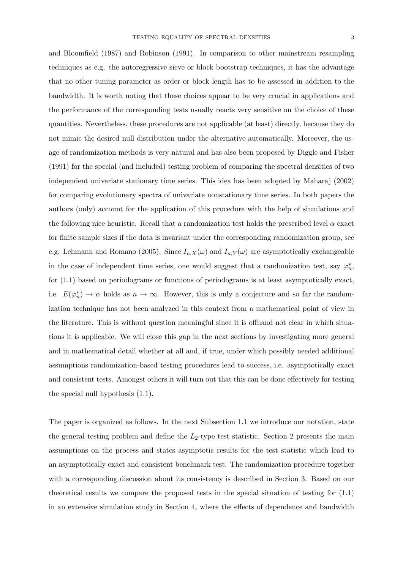and Bloomfield (1987) and Robinson (1991). In comparison to other mainstream resampling techniques as e.g. the autoregressive sieve or block bootstrap techniques, it has the advantage that no other tuning parameter as order or block length has to be assessed in addition to the bandwidth. It is worth noting that these choices appear to be very crucial in applications and the performance of the corresponding tests usually reacts very sensitive on the choice of these quantities. Nevertheless, these procedures are not applicable (at least) directly, because they do not mimic the desired null distribution under the alternative automatically. Moreover, the usage of randomization methods is very natural and has also been proposed by Diggle and Fisher (1991) for the special (and included) testing problem of comparing the spectral densities of two independent univariate stationary time series. This idea has been adopted by Maharaj (2002) for comparing evolutionary spectra of univariate nonstationary time series. In both papers the authors (only) account for the application of this procedure with the help of simulations and the following nice heuristic. Recall that a randomization test holds the prescribed level  $\alpha$  exact for finite sample sizes if the data is invariant under the corresponding randomization group, see e.g. Lehmann and Romano (2005). Since  $I_{n,X}(\omega)$  and  $I_{n,Y}(\omega)$  are asymptotically exchangeable in the case of independent time series, one would suggest that a randomization test, say  $\varphi_n^*$ , for (1.1) based on periodograms or functions of periodograms is at least asymptotically exact, i.e.  $E(\varphi_n^*) \to \alpha$  holds as  $n \to \infty$ . However, this is only a conjecture and so far the randomization technique has not been analyzed in this context from a mathematical point of view in the literature. This is without question meaningful since it is offhand not clear in which situations it is applicable. We will close this gap in the next sections by investigating more general and in mathematical detail whether at all and, if true, under which possibly needed additional assumptions randomization-based testing procedures lead to success, i.e. asymptotically exact and consistent tests. Amongst others it will turn out that this can be done effectively for testing the special null hypothesis (1.1).

The paper is organized as follows. In the next Subsection 1.1 we introduce our notation, state the general testing problem and define the  $L_2$ -type test statistic. Section 2 presents the main assumptions on the process and states asymptotic results for the test statistic which lead to an asymptotically exact and consistent benchmark test. The randomization procedure together with a corresponding discussion about its consistency is described in Section 3. Based on our theoretical results we compare the proposed tests in the special situation of testing for (1.1) in an extensive simulation study in Section 4, where the effects of dependence and bandwidth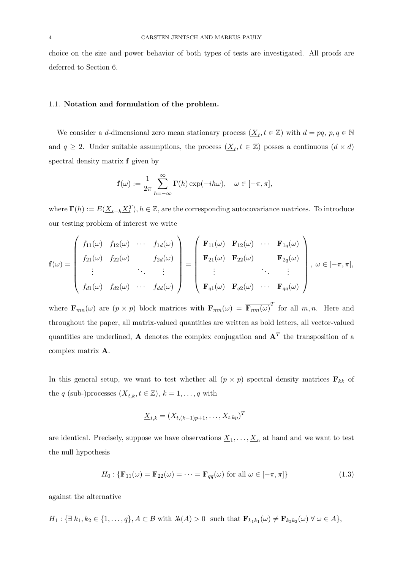choice on the size and power behavior of both types of tests are investigated. All proofs are deferred to Section 6.

#### 1.1. Notation and formulation of the problem.

We consider a d-dimensional zero mean stationary process  $(\underline{X}_t, t \in \mathbb{Z})$  with  $d = pq, p, q \in \mathbb{N}$ and  $q \geq 2$ . Under suitable assumptions, the process  $(\underline{X}_t, t \in \mathbb{Z})$  posses a continuous  $(d \times d)$ spectral density matrix f given by

$$
\mathbf{f}(\omega) := \frac{1}{2\pi} \sum_{h=-\infty}^{\infty} \mathbf{\Gamma}(h) \exp(-ih\omega), \quad \omega \in [-\pi, \pi],
$$

where  $\Gamma(h) := E(\underline{X}_{t+h} \underline{X}_t^T), h \in \mathbb{Z}$ , are the corresponding autocovariance matrices. To introduce our testing problem of interest we write

$$
\mathbf{f}(\omega) = \begin{pmatrix} f_{11}(\omega) & f_{12}(\omega) & \cdots & f_{1d}(\omega) \\ f_{21}(\omega) & f_{22}(\omega) & & f_{2d}(\omega) \\ \vdots & \ddots & \vdots \\ f_{d1}(\omega) & f_{d2}(\omega) & \cdots & f_{dd}(\omega) \end{pmatrix} = \begin{pmatrix} \mathbf{F}_{11}(\omega) & \mathbf{F}_{12}(\omega) & \cdots & \mathbf{F}_{1q}(\omega) \\ \mathbf{F}_{21}(\omega) & \mathbf{F}_{22}(\omega) & & \mathbf{F}_{2q}(\omega) \\ \vdots & \ddots & \vdots \\ \mathbf{F}_{q1}(\omega) & \mathbf{F}_{q2}(\omega) & \cdots & \mathbf{F}_{qq}(\omega) \end{pmatrix}, \omega \in [-\pi, \pi],
$$

where  $\mathbf{F}_{mn}(\omega)$  are  $(p \times p)$  block matrices with  $\mathbf{F}_{mn}(\omega) = \overline{\mathbf{F}_{nm}(\omega)}^T$  for all  $m, n$ . Here and throughout the paper, all matrix-valued quantities are written as bold letters, all vector-valued quantities are underlined,  $\overline{A}$  denotes the complex conjugation and  $A<sup>T</sup>$  the transposition of a complex matrix A.

In this general setup, we want to test whether all  $(p \times p)$  spectral density matrices  $\mathbf{F}_{kk}$  of the q (sub-)processes  $(\underline{X}_{t,k}, t \in \mathbb{Z}), k = 1, \ldots, q$  with

$$
\underline{X}_{t,k} = (X_{t,(k-1)p+1},\ldots,X_{t,kp})^T
$$

are identical. Precisely, suppose we have observations  $\underline{X}_1, \ldots, \underline{X}_n$  at hand and we want to test the null hypothesis

$$
H_0: \{ \mathbf{F}_{11}(\omega) = \mathbf{F}_{22}(\omega) = \cdots = \mathbf{F}_{qq}(\omega) \text{ for all } \omega \in [-\pi, \pi] \}
$$
(1.3)

against the alternative

$$
H_1: \{ \exists k_1, k_2 \in \{1, \ldots, q\}, A \subset \mathcal{B} \text{ with } \lambda(A) > 0 \text{ such that } \mathbf{F}_{k_1 k_1}(\omega) \neq \mathbf{F}_{k_2 k_2}(\omega) \ \forall \ \omega \in A \},
$$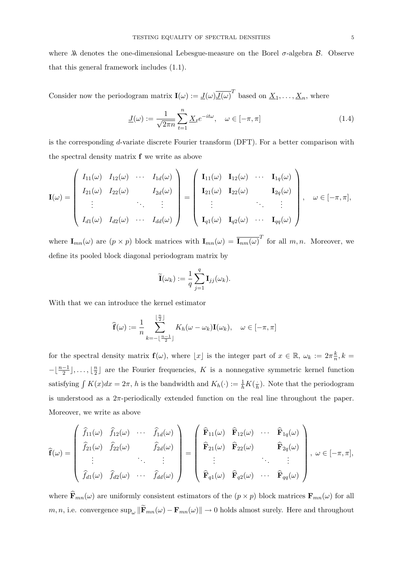where  $\lambda$  denotes the one-dimensional Lebesgue-measure on the Borel  $\sigma$ -algebra  $\beta$ . Observe that this general framework includes (1.1).

Consider now the periodogram matrix  $\mathbf{I}(\omega) := \underline{J}(\omega) \overline{J(\omega)}^T$  based on  $\underline{X}_1, \ldots, \underline{X}_n$ , where

$$
\underline{J}(\omega) := \frac{1}{\sqrt{2\pi n}} \sum_{t=1}^{n} \underline{X}_t e^{-it\omega}, \quad \omega \in [-\pi, \pi]
$$
\n(1.4)

is the corresponding d-variate discrete Fourier transform (DFT). For a better comparison with the spectral density matrix f we write as above

$$
\mathbf{I}(\omega) = \begin{pmatrix} I_{11}(\omega) & I_{12}(\omega) & \cdots & I_{1d}(\omega) \\ I_{21}(\omega) & I_{22}(\omega) & & I_{2d}(\omega) \\ \vdots & & \ddots & \vdots \\ I_{d1}(\omega) & I_{d2}(\omega) & \cdots & I_{dd}(\omega) \end{pmatrix} = \begin{pmatrix} \mathbf{I}_{11}(\omega) & \mathbf{I}_{12}(\omega) & \cdots & \mathbf{I}_{1q}(\omega) \\ \mathbf{I}_{21}(\omega) & \mathbf{I}_{22}(\omega) & & \mathbf{I}_{2q}(\omega) \\ \vdots & & \ddots & \vdots \\ \mathbf{I}_{q1}(\omega) & \mathbf{I}_{q2}(\omega) & \cdots & \mathbf{I}_{qq}(\omega) \end{pmatrix}, \omega \in [-\pi, \pi],
$$

where  $\mathbf{I}_{mn}(\omega)$  are  $(p \times p)$  block matrices with  $\mathbf{I}_{mn}(\omega) = \overline{\mathbf{I}_{nm}(\omega)}^T$  for all  $m, n$ . Moreover, we define its pooled block diagonal periodogram matrix by

$$
\widetilde{\mathbf{I}}(\omega_k) := \frac{1}{q} \sum_{j=1}^q \mathbf{I}_{jj}(\omega_k).
$$

With that we can introduce the kernel estimator

$$
\widehat{\mathbf{f}}(\omega) := \frac{1}{n} \sum_{k=-\lfloor \frac{n-1}{2} \rfloor}^{\lfloor \frac{n}{2} \rfloor} K_h(\omega - \omega_k) \mathbf{I}(\omega_k), \quad \omega \in [-\pi, \pi]
$$

for the spectral density matrix  $f(\omega)$ , where  $\lfloor x \rfloor$  is the integer part of  $x \in \mathbb{R}$ ,  $\omega_k := 2\pi \frac{k}{n}$  $\frac{k}{n}, k =$  $-\lfloor \frac{n-1}{2} \rfloor, \ldots, \lfloor \frac{n}{2} \rfloor$  $\frac{n}{2}$  are the Fourier frequencies, K is a nonnegative symmetric kernel function satisfying  $\int K(x)dx = 2\pi$ , h is the bandwidth and  $K_h(\cdot) := \frac{1}{h}K(\frac{1}{h})$  $\frac{1}{h}$ ). Note that the periodogram is understood as a  $2\pi$ -periodically extended function on the real line throughout the paper. Moreover, we write as above

$$
\widehat{\mathbf{f}}(\omega) = \begin{pmatrix}\n\widehat{f}_{11}(\omega) & \widehat{f}_{12}(\omega) & \cdots & \widehat{f}_{1d}(\omega) \\
\widehat{f}_{21}(\omega) & \widehat{f}_{22}(\omega) & \widehat{f}_{2d}(\omega) \\
\vdots & \ddots & \vdots \\
\widehat{f}_{d1}(\omega) & \widehat{f}_{d2}(\omega) & \cdots & \widehat{f}_{dd}(\omega)\n\end{pmatrix} = \begin{pmatrix}\n\widehat{\mathbf{F}}_{11}(\omega) & \widehat{\mathbf{F}}_{12}(\omega) & \cdots & \widehat{\mathbf{F}}_{1q}(\omega) \\
\widehat{\mathbf{F}}_{21}(\omega) & \widehat{\mathbf{F}}_{22}(\omega) & \cdots & \widehat{\mathbf{F}}_{2q}(\omega) \\
\vdots & \ddots & \vdots \\
\widehat{\mathbf{F}}_{q1}(\omega) & \widehat{\mathbf{F}}_{q2}(\omega) & \cdots & \widehat{\mathbf{F}}_{qq}(\omega)\n\end{pmatrix}, \omega \in [-\pi, \pi],
$$

where  $\widehat{\mathbf{F}}_{mn}(\omega)$  are uniformly consistent estimators of the  $(p \times p)$  block matrices  $\mathbf{F}_{mn}(\omega)$  for all  $m, n$ , i.e. convergence  $\sup_{\omega} \|\widetilde{\mathbf{F}}_{mn}(\omega) - \mathbf{F}_{mn}(\omega)\|$  → 0 holds almost surely. Here and throughout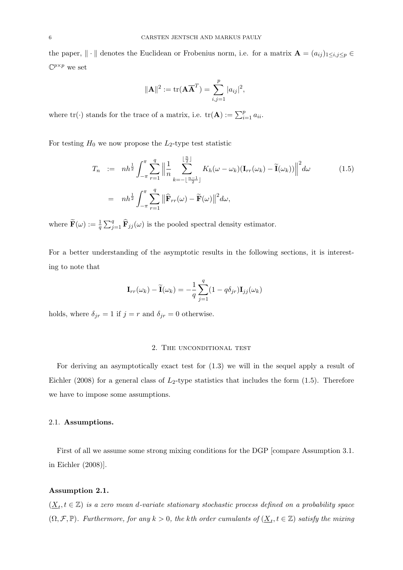the paper,  $\|\cdot\|$  denotes the Euclidean or Frobenius norm, i.e. for a matrix  $\mathbf{A} = (a_{ij})_{1 \leq i,j \leq p} \in$  $\mathbb{C}^{p\times p}$  we set

$$
\|\mathbf{A}\|^2 := \text{tr}(\mathbf{A}\overline{\mathbf{A}}^T) = \sum_{i,j=1}^p |a_{ij}|^2,
$$

where  $\text{tr}(\cdot)$  stands for the trace of a matrix, i.e.  $\text{tr}(\mathbf{A}) := \sum_{i=1}^{p} a_{ii}$ .

For testing  $H_0$  we now propose the  $L_2$ -type test statistic

$$
T_n := nh^{\frac{1}{2}} \int_{-\pi}^{\pi} \sum_{r=1}^{q} \left\| \frac{1}{n} \sum_{k=-\lfloor \frac{n-1}{2} \rfloor}^{\lfloor \frac{n}{2} \rfloor} K_h(\omega - \omega_k) (\mathbf{I}_{rr}(\omega_k) - \widetilde{\mathbf{I}}(\omega_k)) \right\|^2 d\omega
$$
\n
$$
= nh^{\frac{1}{2}} \int_{-\pi}^{\pi} \sum_{r=1}^{q} \left\| \widehat{\mathbf{F}}_{rr}(\omega) - \widetilde{\mathbf{F}}(\omega) \right\|^2 d\omega,
$$
\n(1.5)

where  $\tilde{\mathbf{F}}(\omega) := \frac{1}{q} \sum_{j=1}^{q} \hat{\mathbf{F}}_{jj}(\omega)$  is the pooled spectral density estimator.

For a better understanding of the asymptotic results in the following sections, it is interesting to note that

$$
\mathbf{I}_{rr}(\omega_k) - \widetilde{\mathbf{I}}(\omega_k) = -\frac{1}{q} \sum_{j=1}^{q} (1 - q\delta_{jr}) \mathbf{I}_{jj}(\omega_k)
$$

holds, where  $\delta_{jr} = 1$  if  $j = r$  and  $\delta_{jr} = 0$  otherwise.

#### 2. The unconditional test

For deriving an asymptotically exact test for (1.3) we will in the sequel apply a result of Eichler (2008) for a general class of  $L_2$ -type statistics that includes the form (1.5). Therefore we have to impose some assumptions.

### 2.1. Assumptions.

First of all we assume some strong mixing conditions for the DGP [compare Assumption 3.1. in Eichler (2008)].

#### Assumption 2.1.

 $(\underline{X}_t, t \in \mathbb{Z})$  is a zero mean d-variate stationary stochastic process defined on a probability space  $(\Omega, \mathcal{F}, \mathbb{P})$ . Furthermore, for any  $k > 0$ , the kth order cumulants of  $(\underline{X}_t, t \in \mathbb{Z})$  satisfy the mixing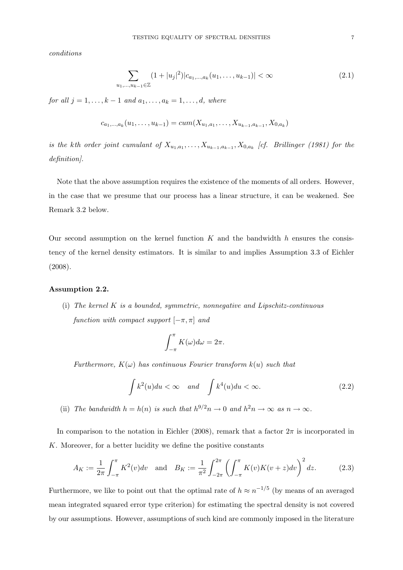conditions

$$
\sum_{u_1,\dots,u_{k-1}\in\mathbb{Z}} (1+|u_j|^2)|c_{a_1,\dots,a_k}(u_1,\dots,u_{k-1})| < \infty \tag{2.1}
$$

for all  $j = 1, ..., k - 1$  and  $a_1, ..., a_k = 1, ..., d$ , where

$$
c_{a_1,\ldots,a_k}(u_1,\ldots,u_{k-1}) = cum(X_{u_1,a_1},\ldots,X_{u_{k-1},a_{k-1}},X_{0,a_k})
$$

is the kth order joint cumulant of  $X_{u_1, a_1}, \ldots, X_{u_{k-1}, a_{k-1}}, X_{0, a_k}$  [cf. Brillinger (1981) for the definition].

Note that the above assumption requires the existence of the moments of all orders. However, in the case that we presume that our process has a linear structure, it can be weakened. See Remark 3.2 below.

Our second assumption on the kernel function  $K$  and the bandwidth h ensures the consistency of the kernel density estimators. It is similar to and implies Assumption 3.3 of Eichler (2008).

### Assumption 2.2.

(i) The kernel  $K$  is a bounded, symmetric, nonnegative and Lipschitz-continuous function with compact support  $[-\pi, \pi]$  and

$$
\int_{-\pi}^{\pi} K(\omega) d\omega = 2\pi.
$$

Furthermore,  $K(\omega)$  has continuous Fourier transform  $k(u)$  such that

$$
\int k^2(u)du < \infty \quad \text{and} \quad \int k^4(u)du < \infty. \tag{2.2}
$$

(ii) The bandwidth  $h = h(n)$  is such that  $h^{9/2}n \to 0$  and  $h^2n \to \infty$  as  $n \to \infty$ .

In comparison to the notation in Eichler (2008), remark that a factor  $2\pi$  is incorporated in K. Moreover, for a better lucidity we define the positive constants

$$
A_K := \frac{1}{2\pi} \int_{-\pi}^{\pi} K^2(v) dv \quad \text{and} \quad B_K := \frac{1}{\pi^2} \int_{-2\pi}^{2\pi} \left( \int_{-\pi}^{\pi} K(v) K(v+z) dv \right)^2 dz. \tag{2.3}
$$

Furthermore, we like to point out that the optimal rate of  $h \approx n^{-1/5}$  (by means of an averaged mean integrated squared error type criterion) for estimating the spectral density is not covered by our assumptions. However, assumptions of such kind are commonly imposed in the literature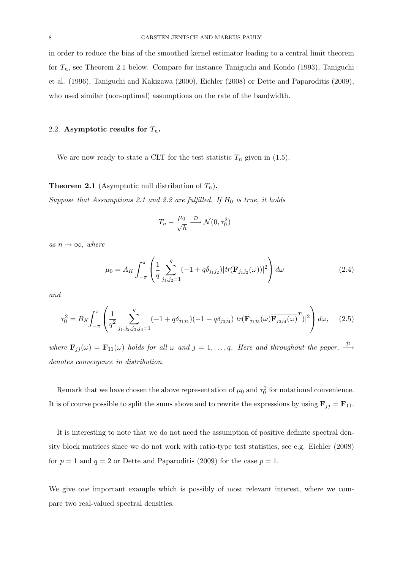in order to reduce the bias of the smoothed kernel estimator leading to a central limit theorem for  $T_n$ , see Theorem 2.1 below. Compare for instance Taniguchi and Kondo (1993), Taniguchi et al. (1996), Taniguchi and Kakizawa (2000), Eichler (2008) or Dette and Paparoditis (2009), who used similar (non-optimal) assumptions on the rate of the bandwidth.

### 2.2. Asymptotic results for  $T_n$ .

We are now ready to state a CLT for the test statistic  $T_n$  given in (1.5).

# **Theorem 2.1** (Asymptotic null distribution of  $T_n$ ).

Suppose that Assumptions 2.1 and 2.2 are fulfilled. If  $H_0$  is true, it holds

$$
T_n - \frac{\mu_0}{\sqrt{h}} \xrightarrow{\mathcal{D}} \mathcal{N}(0, \tau_0^2)
$$

as  $n \to \infty$ , where

$$
\mu_0 = A_K \int_{-\pi}^{\pi} \left( \frac{1}{q} \sum_{j_1, j_2=1}^q (-1 + q \delta_{j_1 j_2}) |tr(\mathbf{F}_{j_1 j_2}(\omega))|^2 \right) d\omega \tag{2.4}
$$

and

$$
\tau_0^2 = B_K \int_{-\pi}^{\pi} \left( \frac{1}{q^2} \sum_{j_1, j_2, j_3, j_4 = 1}^q (-1 + q \delta_{j_1 j_2}) (-1 + q \delta_{j_3 j_4}) |tr(\mathbf{F}_{j_1 j_3}(\omega) \overline{\mathbf{F}_{j_2 j_4}(\omega)}^T)|^2 \right) d\omega, \quad (2.5)
$$

where  $\mathbf{F}_{jj}(\omega) = \mathbf{F}_{11}(\omega)$  holds for all  $\omega$  and  $j = 1, \ldots, q$ . Here and throughout the paper,  $\stackrel{\mathcal{D}}{\longrightarrow}$ denotes convergence in distribution.

Remark that we have chosen the above representation of  $\mu_0$  and  $\tau_0^2$  for notational convenience. It is of course possible to split the sums above and to rewrite the expressions by using  $\mathbf{F}_{jj} = \mathbf{F}_{11}$ .

It is interesting to note that we do not need the assumption of positive definite spectral density block matrices since we do not work with ratio-type test statistics, see e.g. Eichler (2008) for  $p = 1$  and  $q = 2$  or Dette and Paparoditis (2009) for the case  $p = 1$ .

We give one important example which is possibly of most relevant interest, where we compare two real-valued spectral densities.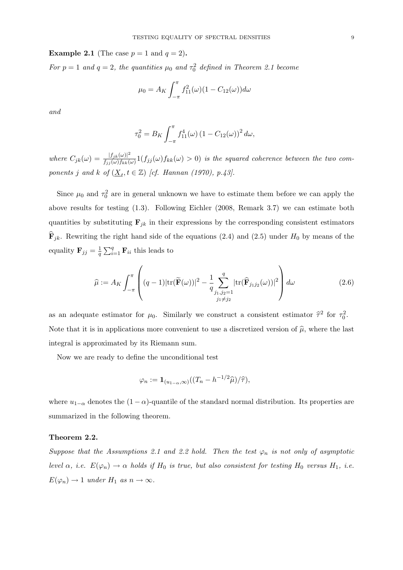**Example 2.1** (The case  $p = 1$  and  $q = 2$ ).

For  $p = 1$  and  $q = 2$ , the quantities  $\mu_0$  and  $\tau_0^2$  defined in Theorem 2.1 become

$$
\mu_0 = A_K \int_{-\pi}^{\pi} f_{11}^2(\omega) (1 - C_{12}(\omega)) d\omega
$$

and

$$
\tau_0^2 = B_K \int_{-\pi}^{\pi} f_{11}^4(\omega) (1 - C_{12}(\omega))^2 d\omega,
$$

where  $C_{jk}(\omega) = \frac{|f_{jk}(\omega)|^2}{f_{ijk}(\omega)f_{kk}(\omega)}$  $\frac{f_{jjk}(\omega)}{f_{jj}(\omega)f_{kk}(\omega)}$  1 $(f_{jj}(\omega)f_{kk}(\omega) > 0)$  is the squared coherence between the two components j and k of  $(\underline{X}_t, t \in \mathbb{Z})$  [cf. Hannan (1970), p.43].

Since  $\mu_0$  and  $\tau_0^2$  are in general unknown we have to estimate them before we can apply the above results for testing (1.3). Following Eichler (2008, Remark 3.7) we can estimate both quantities by substituting  $\mathbf{F}_{jk}$  in their expressions by the corresponding consistent estimators  $\mathbf{F}_{jk}$ . Rewriting the right hand side of the equations (2.4) and (2.5) under  $H_0$  by means of the equality  $\mathbf{F}_{jj} = \frac{1}{q}$  $\frac{1}{q}\sum_{i=1}^{q} \mathbf{F}_{ii}$  this leads to

$$
\widehat{\mu} := A_K \int_{-\pi}^{\pi} \left( (q-1)|\text{tr}(\widetilde{\mathbf{F}}(\omega))|^2 - \frac{1}{q} \sum_{\substack{j_1,j_2=1 \ j_1 \neq j_2}}^q |\text{tr}(\widehat{\mathbf{F}}_{j_1j_2}(\omega))|^2 \right) d\omega \tag{2.6}
$$

as an adequate estimator for  $\mu_0$ . Similarly we construct a consistent estimator  $\hat{\tau}^2$  for  $\tau_0^2$ . Note that it is in applications more convenient to use a discretized version of  $\hat{\mu}$ , where the last integral is approximated by its Riemann sum.

Now we are ready to define the unconditional test

$$
\varphi_n := \mathbf{1}_{(u_{1-\alpha},\infty)}((T_n - h^{-1/2}\widehat{\mu})/\widehat{\tau}),
$$

where  $u_{1-\alpha}$  denotes the  $(1-\alpha)$ -quantile of the standard normal distribution. Its properties are summarized in the following theorem.

### Theorem 2.2.

Suppose that the Assumptions 2.1 and 2.2 hold. Then the test  $\varphi_n$  is not only of asymptotic level  $\alpha$ , i.e.  $E(\varphi_n) \to \alpha$  holds if  $H_0$  is true, but also consistent for testing  $H_0$  versus  $H_1$ , i.e.  $E(\varphi_n) \to 1$  under  $H_1$  as  $n \to \infty$ .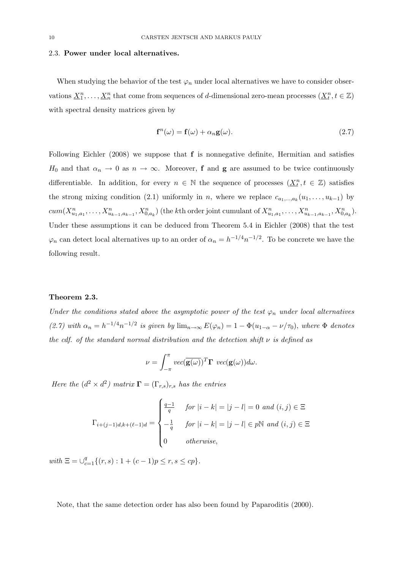#### 2.3. Power under local alternatives.

When studying the behavior of the test  $\varphi_n$  under local alternatives we have to consider observations  $\underline{X}_1^n, \ldots, \underline{X}_n^n$  that come from sequences of d-dimensional zero-mean processes  $(\underline{X}_t^n, t \in \mathbb{Z})$ with spectral density matrices given by

$$
\mathbf{f}^{n}(\omega) = \mathbf{f}(\omega) + \alpha_{n}\mathbf{g}(\omega). \tag{2.7}
$$

Following Eichler (2008) we suppose that f is nonnegative definite, Hermitian and satisfies  $H_0$  and that  $\alpha_n \to 0$  as  $n \to \infty$ . Moreover, **f** and **g** are assumed to be twice continuously differentiable. In addition, for every  $n \in \mathbb{N}$  the sequence of processes  $(\underline{X}_t^n, t \in \mathbb{Z})$  satisfies the strong mixing condition (2.1) uniformly in n, where we replace  $c_{a_1,...,a_k}(u_1,...,u_{k-1})$  by  $cum(X_{u_1,a_1}^n, \ldots, X_{u_{k-1},a_{k-1}}^n, X_{0,a_k}^n)$  (the kth order joint cumulant of  $X_{u_1,a_1}^n, \ldots, X_{u_{k-1},a_{k-1}}^n, X_{0,a_k}^n)$ . Under these assumptions it can be deduced from Theorem 5.4 in Eichler (2008) that the test  $\varphi_n$  can detect local alternatives up to an order of  $\alpha_n = h^{-1/4} n^{-1/2}$ . To be concrete we have the following result.

#### Theorem 2.3.

Under the conditions stated above the asymptotic power of the test  $\varphi_n$  under local alternatives (2.7) with  $\alpha_n = h^{-1/4} n^{-1/2}$  is given by  $\lim_{n\to\infty} E(\varphi_n) = 1 - \Phi(u_{1-\alpha} - \nu/\tau_0)$ , where  $\Phi$  denotes the cdf. of the standard normal distribution and the detection shift  $\nu$  is defined as

$$
\nu = \int_{-\pi}^{\pi} vec(\overline{\mathbf{g}(\omega)})^T \mathbf{\Gamma} vec(\mathbf{g}(\omega)) d\omega.
$$

Here the  $(d^2 \times d^2)$  matrix  $\mathbf{\Gamma} = (\Gamma_{r,s})_{r,s}$  has the entries

$$
\Gamma_{i+(j-1)d,k+(\ell-1)d} = \begin{cases}\n\frac{q-1}{q} & \text{for } |i-k| = |j-l| = 0 \text{ and } (i,j) \in \Xi \\
-\frac{1}{q} & \text{for } |i-k| = |j-l| \in p\mathbb{N} \text{ and } (i,j) \in \Xi \\
0 & \text{otherwise,} \n\end{cases}
$$

with  $\Xi = \bigcup_{c=1}^{q} \{(r, s) : 1 + (c-1)p \le r, s \le cp\}.$ 

Note, that the same detection order has also been found by Paparoditis (2000).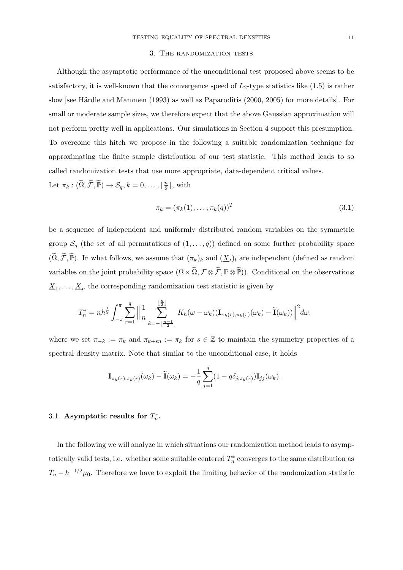#### 3. The randomization tests

Although the asymptotic performance of the unconditional test proposed above seems to be satisfactory, it is well-known that the convergence speed of  $L_2$ -type statistics like  $(1.5)$  is rather slow [see Härdle and Mammen  $(1993)$  as well as Paparoditis  $(2000, 2005)$  for more details]. For small or moderate sample sizes, we therefore expect that the above Gaussian approximation will not perform pretty well in applications. Our simulations in Section 4 support this presumption. To overcome this hitch we propose in the following a suitable randomization technique for approximating the finite sample distribution of our test statistic. This method leads to so called randomization tests that use more appropriate, data-dependent critical values.

Let  $\pi_k : (\widetilde{\Omega}, \widetilde{\mathcal{F}}, \widetilde{\mathbb{P}}) \to \mathcal{S}_q, k = 0, \ldots, \lfloor \frac{n}{2} \rfloor$  $\frac{n}{2}$ ], with

$$
\pi_k = (\pi_k(1), \dots, \pi_k(q))^T
$$
\n(3.1)

be a sequence of independent and uniformly distributed random variables on the symmetric group  $S_q$  (the set of all permutations of  $(1,\ldots,q)$ ) defined on some further probability space  $(\widetilde{\Omega}, \widetilde{\mathcal{F}}, \widetilde{\mathbb{P}})$ . In what follows, we assume that  $(\pi_k)_k$  and  $(\underline{X}_t)_t$  are independent (defined as random variables on the joint probability space  $(\Omega \times \widetilde{\Omega}, \mathcal{F} \otimes \widetilde{\mathcal{F}}, \mathbb{P} \otimes \widetilde{\mathbb{P}})$ ). Conditional on the observations  $\underline{X}_1, \ldots, \underline{X}_n$  the corresponding randomization test statistic is given by

$$
T_n^* = nh^{\frac{1}{2}} \int_{-\pi}^{\pi} \sum_{r=1}^q \left\| \frac{1}{n} \sum_{k=-\lfloor \frac{n-1}{2} \rfloor}^{\lfloor \frac{n}{2} \rfloor} K_h(\omega - \omega_k) (\mathbf{I}_{\pi_k(r), \pi_k(r)}(\omega_k) - \widetilde{\mathbf{I}}(\omega_k)) \right\|^2 d\omega,
$$

where we set  $\pi_{-k} := \pi_k$  and  $\pi_{k+sn} := \pi_k$  for  $s \in \mathbb{Z}$  to maintain the symmetry properties of a spectral density matrix. Note that similar to the unconditional case, it holds

$$
\mathbf{I}_{\pi_k(r), \pi_k(r)}(\omega_k) - \widetilde{\mathbf{I}}(\omega_k) = -\frac{1}{q} \sum_{j=1}^q (1 - q \delta_{j, \pi_k(r)}) \mathbf{I}_{jj}(\omega_k).
$$

# 3.1. Asymptotic results for  $T_n^*$ .

In the following we will analyze in which situations our randomization method leads to asymptotically valid tests, i.e. whether some suitable centered  $T_n^*$  converges to the same distribution as  $T_n - h^{-1/2}\mu_0$ . Therefore we have to exploit the limiting behavior of the randomization statistic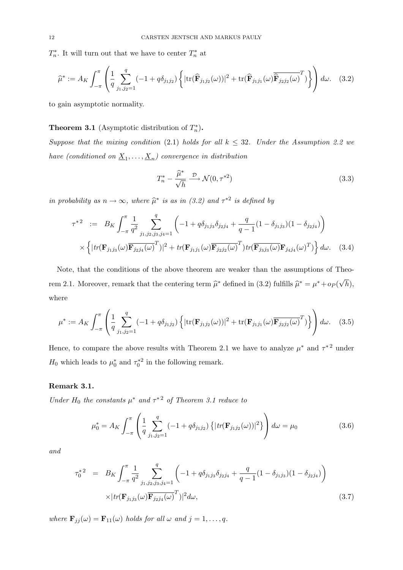$T_n^*$ . It will turn out that we have to center  $T_n^*$  at

$$
\widehat{\mu}^* := A_K \int_{-\pi}^{\pi} \left( \frac{1}{q} \sum_{j_1, j_2=1}^q (-1 + q \delta_{j_1 j_2}) \left\{ |\text{tr}(\widehat{\mathbf{F}}_{j_1 j_2}(\omega))|^2 + \text{tr}(\widehat{\mathbf{F}}_{j_1 j_1}(\omega) \overline{\widehat{\mathbf{F}}_{j_2 j_2}(\omega)}^T) \right\} \right) d\omega. \quad (3.2)
$$

to gain asymptotic normality.

# **Theorem 3.1** (Asymptotic distribution of  $T_n^*$ ).

Suppose that the mixing condition (2.1) holds for all  $k \leq 32$ . Under the Assumption 2.2 we have (conditioned on  $\underline{X}_1,\ldots,\underline{X}_n$ ) convergence in distribution

$$
T_n^* - \frac{\widehat{\mu}^*}{\sqrt{h}} \xrightarrow{\mathcal{D}} \mathcal{N}(0, \tau^{*2})
$$
\n(3.3)

in probability as  $n \to \infty$ , where  $\widehat{\mu}^*$  is as in (3.2) and  $\tau^{*2}$  is defined by

$$
\tau^{*2} := B_K \int_{-\pi}^{\pi} \frac{1}{q^2} \sum_{j_1, j_2, j_3, j_4=1}^{q} \left( -1 + q \delta_{j_1 j_3} \delta_{j_2 j_4} + \frac{q}{q-1} (1 - \delta_{j_1 j_3}) (1 - \delta_{j_2 j_4}) \right) \times \left\{ |tr(\mathbf{F}_{j_1 j_3}(\omega) \overline{\mathbf{F}_{j_2 j_4}(\omega)}^T) |^2 + tr(\mathbf{F}_{j_1 j_1}(\omega) \overline{\mathbf{F}_{j_2 j_2}(\omega)}^T) tr(\overline{\mathbf{F}_{j_3 j_3}(\omega)} \mathbf{F}_{j_4 j_4}(\omega)^T) \right\} d\omega.
$$
 (3.4)

Note, that the conditions of the above theorem are weaker than the assumptions of Theorem 2.1. Moreover, remark that the centering term  $\hat{\mu}^*$  defined in (3.2) fulfills  $\hat{\mu}^* = \mu^* + o_P(\sqrt{\pi})$  $(h),$ where

$$
\mu^* := A_K \int_{-\pi}^{\pi} \left( \frac{1}{q} \sum_{j_1, j_2 = 1}^q (-1 + q \delta_{j_1 j_2}) \left\{ |\text{tr}(\mathbf{F}_{j_1 j_2}(\omega))|^2 + \text{tr}(\mathbf{F}_{j_1 j_1}(\omega) \overline{\mathbf{F}_{j_2 j_2}(\omega)}^T) \right\} \right) d\omega. \quad (3.5)
$$

Hence, to compare the above results with Theorem 2.1 we have to analyze  $\mu^*$  and  $\tau^{*2}$  under  $H_0$  which leads to  $\mu_0^*$  and  $\tau_0^{*2}$  in the following remark.

### Remark 3.1.

Under  $H_0$  the constants  $\mu^*$  and  $\tau^{*2}$  of Theorem 3.1 reduce to

$$
\mu_0^* = A_K \int_{-\pi}^{\pi} \left( \frac{1}{q} \sum_{j_1, j_2=1}^q (-1 + q \delta_{j_1 j_2}) \left\{ |tr(\mathbf{F}_{j_1 j_2}(\omega))|^2 \right\} \right) d\omega = \mu_0 \tag{3.6}
$$

and

$$
\tau_0^{*2} = B_K \int_{-\pi}^{\pi} \frac{1}{q^2} \sum_{j_1, j_2, j_3, j_4=1}^{q} \left( -1 + q \delta_{j_1 j_3} \delta_{j_2 j_4} + \frac{q}{q-1} (1 - \delta_{j_1 j_3}) (1 - \delta_{j_2 j_4}) \right) \times |tr(\mathbf{F}_{j_1 j_3}(\omega) \overline{\mathbf{F}_{j_2 j_4}(\omega)}^T)|^2 d\omega,
$$
\n(3.7)

where  $\mathbf{F}_{jj}(\omega) = \mathbf{F}_{11}(\omega)$  holds for all  $\omega$  and  $j = 1, \ldots, q$ .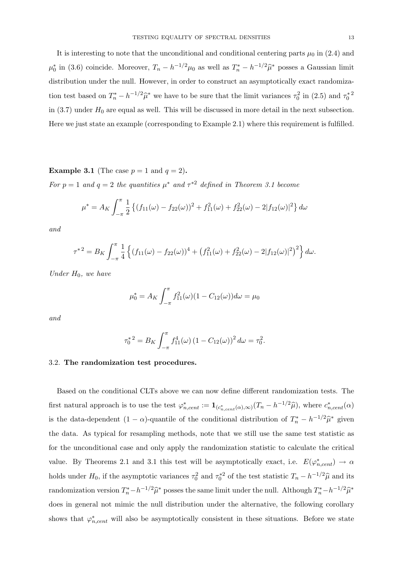It is interesting to note that the unconditional and conditional centering parts  $\mu_0$  in (2.4) and  $\mu_0^*$  in (3.6) coincide. Moreover,  $T_n - h^{-1/2}\mu_0$  as well as  $T_n^* - h^{-1/2}\hat{\mu}^*$  posses a Gaussian limit distribution under the null. However, in order to construct an asymptotically exact randomization test based on  $T_n^* - h^{-1/2}\hat{\mu}^*$  we have to be sure that the limit variances  $\tau_0^2$  in (2.5) and  $\tau_0^{*2}$ in  $(3.7)$  under  $H_0$  are equal as well. This will be discussed in more detail in the next subsection. Here we just state an example (corresponding to Example 2.1) where this requirement is fulfilled.

**Example 3.1** (The case  $p = 1$  and  $q = 2$ ).

For  $p = 1$  and  $q = 2$  the quantities  $\mu^*$  and  $\tau^{*2}$  defined in Theorem 3.1 become

$$
\mu^* = A_K \int_{-\pi}^{\pi} \frac{1}{2} \left\{ (f_{11}(\omega) - f_{22}(\omega))^2 + f_{11}^2(\omega) + f_{22}^2(\omega) - 2|f_{12}(\omega)|^2 \right\} d\omega
$$

and

$$
\tau^{*2} = B_K \int_{-\pi}^{\pi} \frac{1}{4} \left\{ (f_{11}(\omega) - f_{22}(\omega))^4 + (f_{11}^2(\omega) + f_{22}^2(\omega) - 2|f_{12}(\omega)|^2)^2 \right\} d\omega.
$$

Under  $H_0$ , we have

$$
\mu_0^* = A_K \int_{-\pi}^{\pi} f_{11}^2(\omega)(1 - C_{12}(\omega)) d\omega = \mu_0
$$

and

$$
\tau_0^{*2} = B_K \int_{-\pi}^{\pi} f_{11}^4(\omega) (1 - C_{12}(\omega))^2 d\omega = \tau_0^2.
$$

### 3.2. The randomization test procedures.

Based on the conditional CLTs above we can now define different randomization tests. The first natural approach is to use the test  $\varphi_{n,cent}^* := \mathbf{1}_{(c_{n,cent}^*(\alpha), \infty)}(T_n - h^{-1/2}\widehat{\mu})$ , where  $c_{n,cent}^*(\alpha)$ is the data-dependent  $(1 - \alpha)$ -quantile of the conditional distribution of  $T_n^* - h^{-1/2}\hat{\mu}^*$  given the data. As typical for resampling methods, note that we still use the same test statistic as for the unconditional case and only apply the randomization statistic to calculate the critical value. By Theorems 2.1 and 3.1 this test will be asymptotically exact, i.e.  $E(\varphi_{n,cent}^*) \to \alpha$ holds under  $H_0$ , if the asymptotic variances  $\tau_0^2$  and  $\tau_0^{*2}$  of the test statistic  $T_n - h^{-1/2}\hat{\mu}$  and its randomization version  $T_n^* - h^{-1/2}\hat{\mu}^*$  posses the same limit under the null. Although  $T_n^* - h^{-1/2}\hat{\mu}^*$ does in general not mimic the null distribution under the alternative, the following corollary shows that  $\varphi_{n,cent}^*$  will also be asymptotically consistent in these situations. Before we state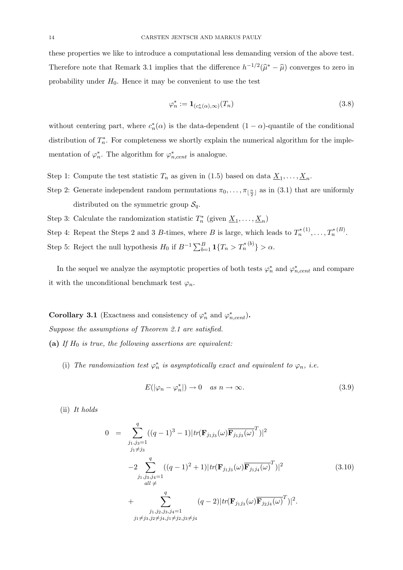these properties we like to introduce a computational less demanding version of the above test. Therefore note that Remark 3.1 implies that the difference  $h^{-1/2}(\hat{\mu}^* - \hat{\mu})$  converges to zero in probability under  $H_0$ . Hence it may be convenient to use the test

$$
\varphi_n^* := \mathbf{1}_{(c_n^*(\alpha), \infty)}(T_n) \tag{3.8}
$$

without centering part, where  $c_n^*(\alpha)$  is the data-dependent  $(1 - \alpha)$ -quantile of the conditional distribution of  $T_n^*$ . For completeness we shortly explain the numerical algorithm for the implementation of  $\varphi_n^*$ . The algorithm for  $\varphi_{n,cent}^*$  is analogue.

- Step 1: Compute the test statistic  $T_n$  as given in (1.5) based on data  $\underline{X}_1, \ldots, \underline{X}_n$ .
- Step 2: Generate independent random permutations  $\pi_0, \ldots, \pi_{\lfloor \frac{n}{2} \rfloor}$  as in (3.1) that are uniformly distributed on the symmetric group  $S_q$ .
- Step 3: Calculate the randomization statistic  $T_n^*$  (given  $\underline{X}_1, \ldots, \underline{X}_n$ )
- Step 4: Repeat the Steps 2 and 3 B-times, where B is large, which leads to  $T_n^{*(1)}, \ldots, T_n^{*(B)}$ .
- Step 5: Reject the null hypothesis  $H_0$  if  $B^{-1} \sum_{b=1}^B \mathbf{1}\{T_n > T_n^{*(b)}\} > \alpha$ .

In the sequel we analyze the asymptotic properties of both tests  $\varphi_n^*$  and  $\varphi_{n,cent}^*$  and compare it with the unconditional benchmark test  $\varphi_n$ .

Corollary 3.1 (Exactness and consistency of  $\varphi_n^*$  and  $\varphi_{n,cent}^*$ ). Suppose the assumptions of Theorem 2.1 are satisfied. (a) If  $H_0$  is true, the following assertions are equivalent:

(i) The randomization test  $\varphi_n^*$  is asymptotically exact and equivalent to  $\varphi_n$ , i.e.

$$
E(|\varphi_n - \varphi_n^*|) \to 0 \quad \text{as } n \to \infty. \tag{3.9}
$$

(ii) It holds

$$
0 = \sum_{\substack{j_1,j_3=1 \ j_1 \neq j_3}}^{q} ((q-1)^3 - 1)|tr(\mathbf{F}_{j_1j_3}(\omega)\overline{\mathbf{F}_{j_1j_3}(\omega)}^T)|^2
$$
  
\n
$$
-2 \sum_{\substack{j_1,j_3,j_4=1 \ all \neq}}^{q} ((q-1)^2 + 1)|tr(\mathbf{F}_{j_1j_3}(\omega)\overline{\mathbf{F}_{j_1j_4}(\omega)}^T)|^2
$$
(3.10)  
\n
$$
+ \sum_{\substack{j_1,j_2,j_3,j_4=1 \ j_1 \neq j_3, j_2 \neq j_4, j_1 \neq j_2, j_3 \neq j_4}}^{q} (q-2)|tr(\mathbf{F}_{j_1j_3}(\omega)\overline{\mathbf{F}_{j_2j_4}(\omega)}^T)|^2.
$$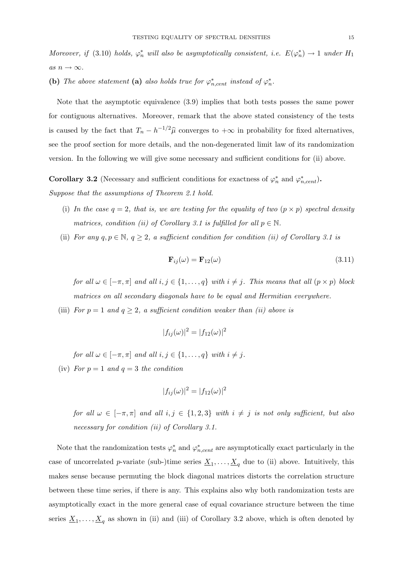Moreover, if (3.10) holds,  $\varphi_n^*$  will also be asymptotically consistent, i.e.  $E(\varphi_n^*) \to 1$  under  $H_1$ as  $n \to \infty$ .

(b) The above statement (a) also holds true for  $\varphi_{n,cent}^*$  instead of  $\varphi_n^*$ .

Note that the asymptotic equivalence (3.9) implies that both tests posses the same power for contiguous alternatives. Moreover, remark that the above stated consistency of the tests is caused by the fact that  $T_n - h^{-1/2}\hat{\mu}$  converges to  $+\infty$  in probability for fixed alternatives, see the proof section for more details, and the non-degenerated limit law of its randomization version. In the following we will give some necessary and sufficient conditions for (ii) above.

**Corollary 3.2** (Necessary and sufficient conditions for exactness of  $\varphi_n^*$  and  $\varphi_{n,cent}^*$ ).

Suppose that the assumptions of Theorem 2.1 hold.

- (i) In the case  $q = 2$ , that is, we are testing for the equality of two  $(p \times p)$  spectral density matrices, condition (ii) of Corollary 3.1 is fulfilled for all  $p \in \mathbb{N}$ .
- (ii) For any  $q, p \in \mathbb{N}, q \geq 2$ , a sufficient condition for condition (ii) of Corollary 3.1 is

$$
\mathbf{F}_{ij}(\omega) = \mathbf{F}_{12}(\omega) \tag{3.11}
$$

for all  $\omega \in [-\pi, \pi]$  and all  $i, j \in \{1, ..., q\}$  with  $i \neq j$ . This means that all  $(p \times p)$  block matrices on all secondary diagonals have to be equal and Hermitian everywhere.

(iii) For  $p = 1$  and  $q \ge 2$ , a sufficient condition weaker than (ii) above is

$$
|f_{ij}(\omega)|^2 = |f_{12}(\omega)|^2
$$

for all  $\omega \in [-\pi, \pi]$  and all  $i, j \in \{1, \ldots, q\}$  with  $i \neq j$ .

(iv) For  $p = 1$  and  $q = 3$  the condition

$$
|f_{ij}(\omega)|^2 = |f_{12}(\omega)|^2
$$

for all  $\omega \in [-\pi, \pi]$  and all  $i, j \in \{1, 2, 3\}$  with  $i \neq j$  is not only sufficient, but also necessary for condition (ii) of Corollary 3.1.

Note that the randomization tests  $\varphi_n^*$  and  $\varphi_{n,cent}^*$  are asymptotically exact particularly in the case of uncorrelated *p*-variate (sub-)time series  $\underline{X}_1, \ldots, \underline{X}_q$  due to (ii) above. Intuitively, this makes sense because permuting the block diagonal matrices distorts the correlation structure between these time series, if there is any. This explains also why both randomization tests are asymptotically exact in the more general case of equal covariance structure between the time series  $\underline{X}_1, \ldots, \underline{X}_q$  as shown in (ii) and (iii) of Corollary 3.2 above, which is often denoted by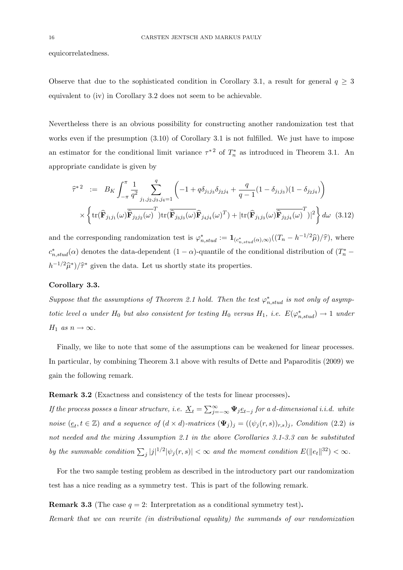equicorrelatedness.

Observe that due to the sophisticated condition in Corollary 3.1, a result for general  $q \geq 3$ equivalent to (iv) in Corollary 3.2 does not seem to be achievable.

Nevertheless there is an obvious possibility for constructing another randomization test that works even if the presumption  $(3.10)$  of Corollary 3.1 is not fulfilled. We just have to impose an estimator for the conditional limit variance  $\tau^*$ <sup>2</sup> of  $T_n^*$  as introduced in Theorem 3.1. An appropriate candidate is given by

$$
\widehat{\tau}^{*2} := B_K \int_{-\pi}^{\pi} \frac{1}{q^2} \sum_{j_1, j_2, j_3, j_4=1}^{q} \left( -1 + q \delta_{j_1 j_3} \delta_{j_2 j_4} + \frac{q}{q-1} (1 - \delta_{j_1 j_3}) (1 - \delta_{j_2 j_4}) \right) \times \left\{ \text{tr}(\widehat{\mathbf{F}}_{j_1 j_1}(\omega) \overline{\widehat{\mathbf{F}}_{j_2 j_2}(\omega)}^T) \text{tr}(\widehat{\mathbf{F}}_{j_3 j_3}(\omega) \overline{\widehat{\mathbf{F}}_{j_4 j_4}(\omega)}^T) + |\text{tr}(\widehat{\mathbf{F}}_{j_1 j_3}(\omega) \overline{\widehat{\mathbf{F}}_{j_2 j_4}(\omega)}^T)|^2 \right\} d\omega \quad (3.12)
$$

and the corresponding randomization test is  $\varphi_{n,stud}^* := \mathbf{1}_{(c^*_{n,stud}(\alpha), \infty)}((T_n - h^{-1/2}\widehat{\mu})/\widehat{\tau})$ , where  $c_{n,stud}^*(\alpha)$  denotes the data-dependent  $(1 - \alpha)$ -quantile of the conditional distribution of  $(T_n^*$  $h^{-1/2}\hat{\mu}^*/\hat{\tau}^*$  given the data. Let us shortly state its properties.

# Corollary 3.3.

Suppose that the assumptions of Theorem 2.1 hold. Then the test  $\varphi_{n,stud}^*$  is not only of asymptotic level  $\alpha$  under  $H_0$  but also consistent for testing  $H_0$  versus  $H_1$ , i.e.  $E(\varphi_{n,stud}^*) \to 1$  under  $H_1$  as  $n \to \infty$ .

Finally, we like to note that some of the assumptions can be weakened for linear processes. In particular, by combining Theorem 3.1 above with results of Dette and Paparoditis (2009) we gain the following remark.

# Remark 3.2 (Exactness and consistency of the tests for linear processes).

If the process posses a linear structure, i.e.  $\underline{X}_t = \sum_{j=-\infty}^{\infty} \Psi_j \underline{e}_{t-j}$  for a d-dimensional i.i.d. white noise  $(\underline{e}_t, t \in \mathbb{Z})$  and a sequence of  $(d \times d)$ -matrices  $(\mathbf{\Psi}_j)_j = ((\psi_j(r, s))_{r,s})_j$ , Condition (2.2) is not needed and the mixing Assumption 2.1 in the above Corollaries 3.1-3.3 can be substituted by the summable condition  $\sum_j |j|^{1/2} |\psi_j(r, s)| < \infty$  and the moment condition  $E(\|e_t\|^{32}) < \infty$ .

For the two sample testing problem as described in the introductory part our randomization test has a nice reading as a symmetry test. This is part of the following remark.

**Remark 3.3** (The case  $q = 2$ : Interpretation as a conditional symmetry test).

Remark that we can rewrite (in distributional equality) the summands of our randomization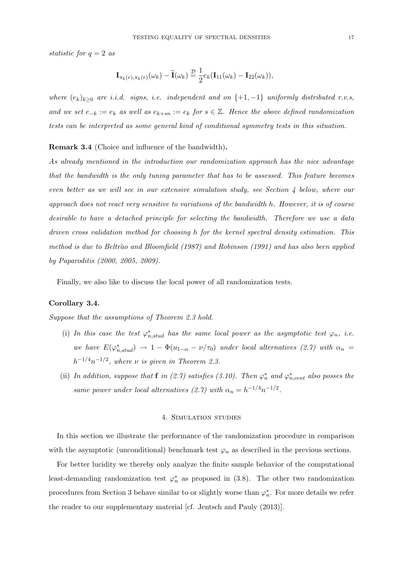statistic for  $q = 2$  as

$$
\mathbf{I}_{\pi_k(r),\pi_k(r)}(\omega_k) - \widetilde{\mathbf{I}}(\omega_k) \stackrel{\mathcal{D}}{=} \frac{1}{2} e_k(\mathbf{I}_{11}(\omega_k) - \mathbf{I}_{22}(\omega_k)),
$$

where  $(e_k)_{k>0}$  are i.i.d. signs, i.e. independent and on  $\{+1, -1\}$  uniformly distributed r.v.s, and we set  $e_{-k} := e_k$  as well as  $e_{k+sn} := e_k$  for  $s \in \mathbb{Z}$ . Hence the above defined randomization tests can be interpreted as some general kind of conditional symmetry tests in this situation.

#### Remark 3.4 (Choice and influence of the bandwidth).

As already mentioned in the introduction our randomization approach has the nice advantage that the bandwidth is the only tuning parameter that has to be assessed. This feature becomes even better as we will see in our extensive simulation study, see Section 4 below, where our approach does not react very sensitive to variations of the bandwidth h. However, it is of course desirable to have a detached principle for selecting the bandwidth. Therefore we use a data driven cross validation method for choosing h for the kernel spectral density estimation. This method is due to Beltrão and Bloomfield  $(1987)$  and Robinson  $(1991)$  and has also been applied by Paparoditis (2000, 2005, 2009).

Finally, we also like to discuss the local power of all randomization tests.

#### Corollary 3.4.

Suppose that the assumptions of Theorem 2.3 hold.

- (i) In this case the test  $\varphi_{n,stud}^*$  has the same local power as the asymptotic test  $\varphi_n$ , i.e. we have  $E(\varphi_{n,stud}^*) \to 1 - \Phi(u_{1-\alpha} - \nu/\tau_0)$  under local alternatives (2.7) with  $\alpha_n =$  $h^{-1/4}n^{-1/2}$ , where  $\nu$  is given in Theorem 2.3.
- (ii) In addition, suppose that **f** in (2.7) satisfies (3.10). Then  $\varphi_n^*$  and  $\varphi_{n,cent}^*$  also posses the same power under local alternatives (2.7) with  $\alpha_n = h^{-1/4} n^{-1/2}$ .

## 4. Simulation studies

In this section we illustrate the performance of the randomization procedure in comparison with the asymptotic (unconditional) benchmark test  $\varphi_n$  as described in the previous sections.

For better lucidity we thereby only analyze the finite sample behavior of the computational least-demanding randomization test  $\varphi_n^*$  as proposed in (3.8). The other two randomization procedures from Section 3 behave similar to or slightly worse than  $\varphi_n^*$ . For more details we refer the reader to our supplementary material [cf. Jentsch and Pauly (2013)].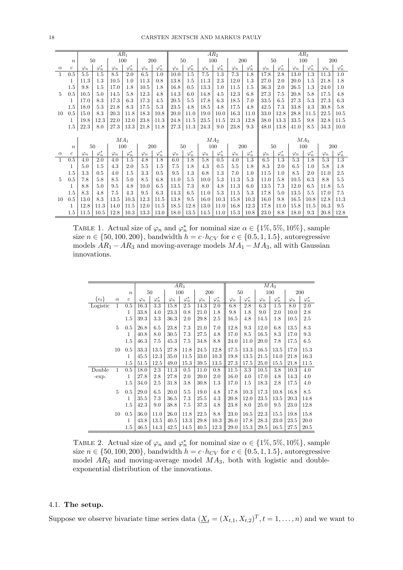|          |                  |             |               |             | $AR_1$        |             |               | AR <sub>2</sub> |               |             |               |             |                  | AR <sub>3</sub> |               |             |               |             |               |
|----------|------------------|-------------|---------------|-------------|---------------|-------------|---------------|-----------------|---------------|-------------|---------------|-------------|------------------|-----------------|---------------|-------------|---------------|-------------|---------------|
|          | $\boldsymbol{n}$ |             | 50            |             | 100           |             | 200           |                 | 50            |             | 100           |             | 200              | 50              |               |             | 100           |             | 200           |
| $\alpha$ | $\boldsymbol{c}$ | $\varphi_n$ | $\varphi_n^*$ | $\varphi_n$ | $\varphi_n^*$ | $\varphi_n$ | $\varphi_n^*$ | $\varphi_n$     | $\varphi_n^*$ | $\varphi_n$ | $\varphi_n^*$ | $\varphi_n$ | $\varphi_n^*$    | $\varphi_n$     | $\varphi_n^*$ | $\varphi_n$ | $\varphi_n^*$ | $\varphi_n$ | $\varphi_n^*$ |
| 1        | 0.5              | 5.5         | 1.5           | 8.5         | 2.0           | 6.5         | 1.0           | 10.0            | 1.5           | 7.5         | 1.3           | 7.3         | 1.8              | 17.8            | 2.8           | 13.0        | 1.3           | 11.3        | 1.0           |
|          | 1                | 11.3        | 1.3           | 10.5        | 1.0           | 11.3        | 0.8           | 13.8            | 1.5           | 11.3        | 2.3           | 12.0        | 1.3              | 27.0            | 2.0           | 20.0        | 1.5           | 21.8        | 1.8           |
|          | 1.5              | 9.8         | 1.5           | 17.0        | 1.8           | 10.5        | 1.8           | 16.8            | 0.5           | 13.3        | $1.0\,$       | 11.5        | 1.5              | 36.3            | 2.0           | 26.5        | 1.3           | 24.0        | 1.0           |
| 5        | 0.5              | 10.5        | 5.0           | 14.5        | 5.8           | 12.3        | 4.8           | 14.3            | 6.0           | 14.8        | 4.5           | 12.3        | 6.8              | 27.3            | 7.5           | 20.8        | 5.8           | 17.5        | 4.8           |
|          | 1                | 17.0        | 8.3           | 17.3        | 6.3           | 17.3        | 4.5           | 20.5            | 5.5           | 17.8        | 6.3           | 18.5        | 7.0              | 33.5            | 6.5           | 27.3        | 5.3           | 27.3        | 6.3           |
|          | 1.5              | 18.0        | 5.3           | 21.8        | 8.3           | 17.5        | 5.3           | 23.5            | 4.8           | 18.5        | 4.8           | 17.5        | 4.8              | 42.5            | 7.3           | 33.8        | 4.3           | 30.8        | 5.8           |
| 10       | 0.5              | 15.0        | 8.3           | 20.3        | 11.8          | 18.3        | 10.8          | 20.0            | 11.0          | 19.0        | 10.0          | 16.3        | 11.0             | 33.0            | 12.8          | 28.8        | 11.5          | 22.5        | 10.5          |
|          | 1                | 19.8        | 12.3          | 22.0        | 12.0          | 23.8        | 11.3          | 24.8            | 11.5          | 23.5        | 11.5          | 21.3        | 12.8             | 38.0            | 13.3          | 33.5        | 9.8           | 32.8        | 11.5          |
|          | 1.5              | 22.3        | 8.0           | 27.3        | 13.3          | 21.8        | 11.8          | 27.3            | 11.3          | 24.3        | 9.0           | 23.8        | 9.3              | 48.0            | 13.8          | 41.0        | 8.5           | 34.3        | 10.0          |
|          |                  |             |               |             |               |             |               |                 |               |             |               |             |                  |                 |               |             |               |             |               |
|          |                  |             |               |             | $MA_1$        |             |               | MA <sub>2</sub> |               |             |               |             |                  |                 |               |             | $MA_3$        |             |               |
|          | $\boldsymbol{n}$ |             | 50            |             | 100           | 200         | 50            |                 |               | 100<br>200  |               |             | 50               |                 | 100           |             | 200           |             |               |
| $\alpha$ | $\boldsymbol{c}$ | $\varphi_n$ | $\varphi_n^*$ | $\varphi_n$ | $\varphi_n^*$ | $\varphi_n$ | $\varphi_n^*$ | $\varphi_n$     | $\varphi_n^*$ | $\varphi_n$ | $\varphi_n^*$ | $\varphi_n$ | $\varphi_n^*$    | $\varphi_n$     | $\varphi_n^*$ | $\varphi_n$ | $\varphi_n^*$ | $\varphi_n$ | $\varphi_n^*$ |
| 1        | 0.5              | 4.0         | 2.0           | 4.0         | 1.5           | 4.8         | 1.8           | 6.0             | 1.8           | 5.8         | 0.5           | 4.0         | $\overline{1.3}$ | 6.5             | 1.3           | 5.3         | 1.8           | 5.3         | 1.3           |
|          | 1                | 5.0         | 1.5           | 4.3         | 2.0           | 5.5         | 1.5           | 7.5             | 1.8           | 4.3         | 0.5           | 5.5         | 1.8              | 8.3             | 2.0           | 6.5         | 1.0           | 5.8         | 1.8           |
|          | 1.5              | 3.3         | 0.5           | 4.0         | 1.5           | 3.3         | 0.5           | 9.5             | 1.3           | 6.8         | 1.3           | 7.0         | 1.0              | 11.5            | 1.0           | 8.5         | 2.0           | 11.0        | 2.5           |
| 5        | 0.5              | 7.8         | 5.8           | 8.5         | 5.0           | 8.5         | 6.8           | 11.0            | 5.5           | 10.0        | 5.3           | 11.3        | 5.3              | 11.0            | 5.8           | 10.5        | 6.3           | 8.8         | 5.5           |
|          | 1                | 8.8         | 5.0           | 9.5         | 4.8           | 10.0        | 6.5           | 13.5            | 7.3           | 8.0         | 4.8           | 11.3        | 6.0              | 13.5            | 7.3           | 12.0        | 6.5           | 11.8        | 5.5           |
|          | 1.5              | 8.3         | 4.8           | 7.5         | 4.3           | 9.5         | 6.3           | 14.3            | 6.5           | 11.0        | 5.3           | 11.5        | 5.3              | 17.8            | 5.0           | 13.5        | 5.5           | 17.0        | 7.5           |
| 10       | 0.5              | 13.0        | 8.3           | 13.5        | 10.3          | 12.3        | 11.5          | 13.8            | 9.5           | 16.0        | 10.3          | 15.8        | 10.3             | 16.0            | 9.8           | 16.5        | 10.8          | 12.8        | 11.3          |
|          | 1                | 12.8        | 11.3          | 14.0        | 11.5          | 12.0        | 11.5          | 18.5            | 12.8          | 13.0        | 11.0          | 16.8        | 12.3             | 17.8            | 11.0          | 15.8        | 11.5          | 16.3        | 9.5           |
|          | 1.5              | 11.5        | 10.5          | 12.8        | 10.3          | 13.3        | 13.0          | 18.0            | 13.5          | 14.5        | 11.0          | 15.3        | 10.8             | 23.0            | 8.8           | 18.0        | 9.3           | 20.8        | 12.8          |

TABLE 1. Actual size of  $\varphi_n$  and  $\varphi_n^*$  for nominal size  $\alpha \in \{1\%, 5\%, 10\%\},$  sample size  $n \in \{50, 100, 200\}$ , bandwidth  $h = c \cdot h_{CV}$  for  $c \in \{0.5, 1, 1.5\}$ , autoregressive models  $AR_1 - AR_3$  and moving-average models  $MA_1 - MA_3$ , all with Gaussian innovations.

|           |              |                  |             |               |             | $AR_3$        |             |               | $MA_3$      |               |             |               |             |               |  |
|-----------|--------------|------------------|-------------|---------------|-------------|---------------|-------------|---------------|-------------|---------------|-------------|---------------|-------------|---------------|--|
|           |              | $\, n$           |             | 50            |             | 100           |             | 200           |             | 50            |             | 100           |             | 200           |  |
| $\{e_t\}$ | $\alpha$     | $\boldsymbol{c}$ | $\varphi_n$ | $\varphi_n^*$ | $\varphi_n$ | $\varphi_n^*$ | $\varphi_n$ | $\varphi_n^*$ | $\varphi_n$ | $\varphi_n^*$ | $\varphi_n$ | $\varphi_n^*$ | $\varphi_n$ | $\varphi_n^*$ |  |
| Logistic  | $\mathbf{1}$ | 0.5              | 16.3        | 3.3           | 15.8        | 2.5           | 14.3        | 2.0           | 6.8         | 2.8           | 6.3         | $1.5\,$       | 8.0         | 2.0           |  |
|           |              | 1                | 33.8        | 4.0           | 23.3        | 0.8           | 21.0        | 1.8           | 9.8         | 1.8           | 9.0         | 2.0           | 10.0        | 2.8           |  |
|           |              | 1.5              | 39.3        | $3.3\,$       | 36.3        | 2.0           | 29.8        | $2.5\,$       | 16.5        | 4.8           | 14.5        | 1.8           | 10.5        | 2.5           |  |
|           | 5            | 0.5              | 26.8        | 6.5           | 23.8        | 7.3           | 21.0        | 7.0           | 12.8        | 9.3           | 12.0        | 6.8           | 13.5        | 8.3           |  |
|           |              | 1                | 40.8        | 8.0           | 30.5        | 7.3           | 27.5        | 4.8           | 17.0        | 8.5           | 16.5        | 8.3           | 17.0        | 9.3           |  |
|           |              | 1.5              | 46.3        | 7.5           | 45.3        | 7.5           | 34.8        | 8.8           | 24.0        | 11.0          | 20.0        | 7.8           | 17.5        | 6.5           |  |
|           | 10           | 0.5              | 33.3        | 13.5          | 27.8        | 11.8          | 24.5        | 12.8          | 17.5        | 13.3          | 16.5        | 13.5          | 17.0        | 15.3          |  |
|           |              | 1                | 45.5        | 12.3          | 35.0        | 11.5          | 33.0        | 10.3          | 19.8        | 13.5          | 21.5        | 14.0          | 21.8        | 16.3          |  |
|           |              | 1.5              | 51.5        | 12.5          | 49.0        | 15.3          | 39.5        | 13.5          | 27.3        | 17.5          | 25.0        | 15.5          | 21.8        | 11.5          |  |
| Double    | $\mathbf{1}$ | 0.5              | 18.0        | 2.3           | 11.3        | 0.5           | 11.0        | 0.8           | 11.5        | 3.3           | 10.5        | 3.8           | 10.3        | 4.0           |  |
| -exp.     |              | 1                | 27.8        | 2.8           | 27.8        | $2.0\,$       | 20.0        | 2.0           | 16.0        | 4.0           | 17.0        | 4.8           | 14.3        | 4.0           |  |
|           |              | 1.5              | 34.0        | $2.5\,$       | 31.8        | $3.8\,$       | 30.8        | 1.3           | 17.0        | 1.5           | 18.3        | 2.8           | 17.5        | 4.0           |  |
|           | 5            | 0.5              | 29.0        | 6.5           | 20.0        | 5.5           | 19.0        | 4.8           | 17.8        | 10.3          | 17.3        | 10.8          | 16.8        | 8.5           |  |
|           |              | 1                | 35.5        | 7.3           | 36.5        | 7.3           | 25.5        | 4.3           | 20.8        | 12.0          | 23.5        | 13.5          | 20.3        | 14.8          |  |
|           |              | 1.5              | 42.3        | 9.0           | 38.8        | 7.5           | 37.3        | 4.8           | 23.8        | 8.0           | 25.0        | 9.5           | 23.0        | 12.8          |  |
|           | 10           | 0.5              | 36.0        | 11.0          | 26.0        | 11.8          | 22.5        | 8.8           | 23.0        | 16.5          | 22.3        | 15.5          | 19.8        | 15.8          |  |
|           |              | 1                | 43.8        | 13.5          | 40.5        | 13.3          | 29.8        | 10.3          | 26.0        | 17.8          | 28.3        | 23.0          | 23.5        | 20.0          |  |
|           |              | $1.5\,$          | 46.5        | 14.3          | 42.5        | 14.5          | 40.5        | 12.3          | 29.0        | 15.3          | 29.5        | 16.5          | 27.5        | 20.5          |  |

TABLE 2. Actual size of  $\varphi_n$  and  $\varphi_n^*$  for nominal size  $\alpha \in \{1\%, 5\%, 10\%\},$  sample size  $n \in \{50, 100, 200\}$ , bandwidth  $h = c \cdot h_{CV}$  for  $c \in \{0.5, 1, 1.5\}$ , autoregressive model  $AR_3$  and moving-average model  $MA_3$ , both with logistic and doubleexponential distribution of the innovations.

#### 4.1. The setup.

Suppose we observe bivariate time series data  $(\underline{X}_t = (X_{t,1}, X_{t,2})^T, t = 1, \ldots, n)$  and we want to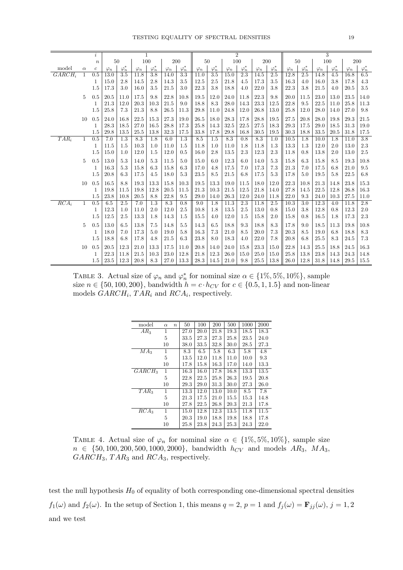|           |              | $\it i$          |             |               | 1           |               |             |               |             |               |             | $\overline{2}$ |             |               |             |               |             | 3             |             |               |
|-----------|--------------|------------------|-------------|---------------|-------------|---------------|-------------|---------------|-------------|---------------|-------------|----------------|-------------|---------------|-------------|---------------|-------------|---------------|-------------|---------------|
|           |              | $\boldsymbol{n}$ |             | 50            | 100         |               |             | $200\,$       |             | 50            |             | 100            |             | 200           |             | 50            |             | 100           | 200         |               |
| model     | $\alpha$     | $\boldsymbol{c}$ | $\varphi_n$ | $\varphi_n^*$ | $\varphi_n$ | $\varphi_n^*$ | $\varphi_n$ | $\varphi_n^*$ | $\varphi_n$ | $\varphi_n^*$ | $\varphi_n$ | $\varphi_n^*$  | $\varphi_n$ | $\varphi_n^*$ | $\varphi_n$ | $\varphi_n^*$ | $\varphi_n$ | $\varphi_n^*$ | $\varphi_n$ | $\varphi_n^*$ |
| $GARCH_i$ | $\mathbf{1}$ | 0.5              | 13.0        | 3.5           | 11.8        | 3.8           | 14.0        | 3.3           | 11.0        | 3.5           | 15.0        | 2.3            | 14.5        | 2.5           | 12.8        | 2.5           | 14.8        | 4.5           | 16.8        | 6.5           |
|           |              | 1                | 15.0        | 2.8           | 14.5        | 2.8           | 14.3        | 3.5           | 12.5        | 2.5           | 21.8        | 4.5            | 17.3        | 3.5           | 16.3        | 4.0           | 16.0        | 3.8           | 17.8        | 4.3           |
|           |              | 1.5              | 17.3        | 3.0           | 16.0        | 3.5           | 21.5        | 3.0           | 22.3        | 3.8           | 18.8        | 4.0            | 22.0        | 3.8           | 22.3        | 3.8           | 21.5        | 4.0           | 20.5        | 3.5           |
|           | 5            | 0.5              | 20.5        | 11.0          | 17.5        | 9.8           | 22.8        | 10.8          | 19.5        | 12.0          | 24.0        | 11.8           | 22.3        | 9.8           | 20.0        | 11.5          | 23.0        | 13.0          | 23.5        | 14.0          |
|           |              | 1                | 21.3        | 12.0          | 20.3        | 10.3          | 21.5        | 9.0           | 18.8        | 8.3           | 28.0        | 14.3           | 23.3        | 12.5          | 22.8        | 9.5           | 22.5        | 11.0          | 25.8        | 11.3          |
|           |              | 1.5              | 25.8        | 7.3           | 21.3        | 8.8           | 26.5        | 11.3          | 29.8        | 11.0          | 24.8        | 12.0           | 26.8        | 13.0          | 25.8        | 12.0          | 28.0        | 14.0          | 27.0        | 9.8           |
|           | 10           | 0.5              | 24.0        | 16.8          | 22.5        | 15.3          | 27.3        | 19.0          | 26.5        | 18.0          | 28.3        | 17.8           | 28.8        | 19.5          | 27.5        | 20.8          | 28.0        | 19.8          | 29.3        | 21.5          |
|           |              | 1                | 28.3        | 18.5          | 27.0        | 16.5          | 28.8        | 17.3          | 25.8        | 14.3          | 32.5        | 22.5           | 27.5        | 18.3          | 29.3        | 17.5          | 29.0        | 18.5          | 31.3        | 19.0          |
|           |              | 1.5              | 29.8        | 13.5          | 25.5        | 13.8          | 32.3        | 17.5          | 33.8        | 17.8          | 29.8        | 16.8           | 30.5        | 19.5          | 30.3        | 18.8          | 33.5        | 20.5          | 31.8        | 17.5          |
| $TAR_i$   | 1            | 0.5              | 7.0         | 1.3           | 8.3         | 1.8           | 6.0         | 1.3           | 8.5         | 1.5           | 8.3         | 0.8            | 8.3         | 1.0           | 10.5        | 1.8           | 10.0        | 1.8           | 11.0        | 3.8           |
|           |              | 1                | 11.5        | 1.5           | 10.3        | 1.0           | 11.0        | 1.5           | 11.8        | 1.0           | 11.0        | 1.8            | 11.8        | 1.3           | 13.3        | 1.3           | 12.0        | 2.0           | 13.0        | 2.3           |
|           |              | 1.5              | 15.0        | 1.0           | 12.0        | 1.5           | 12.0        | 0.5           | 16.0        | 2.8           | 13.5        | 2.3            | 12.3        | 2.3           | 11.8        | 0.8           | 13.8        | 2.0           | 13.0        | 2.5           |
|           | 5            | 0.5              | 13.0        | 5.3           | 14.0        | 5.3           | 11.5        | 5.0           | 15.0        | 6.0           | 12.3        | 6.0            | 14.0        | 5.3           | 15.8        | 6.3           | 15.8        | 8.5           | 19.3        | 10.8          |
|           |              | 1                | 16.3        | 5.3           | 15.8        | 6.3           | 15.8        | 6.3           | 17.0        | 4.8           | 17.5        | 7.0            | 17.3        | 7.3           | 21.3        | 7.0           | 17.5        | 6.8           | 21.0        | 9.5           |
|           |              | 1.5              | 20.8        | 6.3           | 17.5        | 4.5           | 18.0        | 5.3           | 23.5        | 8.5           | 21.5        | 6.8            | 17.5        | 5.3           | 17.8        | 5.0           | 19.5        | 5.8           | 22.5        | 6.8           |
|           | 10           | 0.5              | 16.5        | 8.8           | 19.3        | 13.3          | 15.8        | 10.3          | 19.5        | 13.3          | 19.0        | 11.5           | 18.0        | 12.0          | 22.3        | 10.8          | 21.3        | 14.8          | 23.8        | 15.3          |
|           |              | 1                | 19.8        | 11.5          | 19.8        | 12.8          | 20.5        | 11.5          | 21.3        | 10.3          | 21.5        | 12.5           | 21.8        | 14.0          | 27.8        | 14.5          | 22.5        | 12.8          | 26.8        | 16.3          |
|           |              | 1.5              | 23.8        | 10.8          | 20.5        | 8.8           | 22.8        | 9.5           | 29.0        | 14.0          | 26.3        | 12.0           | 24.0        | 11.8          | 22.0        | 9.3           | 24.0        | 10.3          | 27.5        | 11.0          |
| $RCA_i$   | 1            | 0.5              | 6.5         | 2.5           | 7.0         | 1.3           | 8.3         | 0.8           | 9.0         | 1.8           | 11.3        | 2.3            | 11.8        | 2.5           | 10.3        | 3.0           | 12.3        | 4.0           | 11.8        | 2.8           |
|           |              | 1                | 12.3        | 1.0           | 11.0        | 2.0           | 12.0        | 2.5           | 10.8        | 1.8           | 13.5        | 2.5            | 13.0        | 0.8           | 15.0        | 3.8           | 12.8        | 0.8           | 12.3        | 2.0           |
|           |              | 1.5              | 12.5        | 2.5           | 13.3        | 1.8           | 14.3        | 1.5           | 15.5        | 4.0           | 12.0        | 1.5            | 15.8        | 2.0           | 15.8        | 0.8           | 16.5        | 1.8           | 17.3        | 2.3           |
|           | 5            | 0.5              | 13.0        | 6.5           | 13.8        | 7.5           | 14.8        | 5.5           | 14.3        | 6.5           | 18.8        | 9.3            | 18.8        | 8.3           | 17.8        | 9.0           | 18.5        | 11.3          | 19.8        | 10.8          |
|           |              | 1                | 18.0        | 7.0           | 17.3        | 5.0           | 19.0        | 5.8           | 16.3        | 7.3           | 21.0        | 8.5            | 20.0        | 7.3           | 20.3        | 8.5           | 19.0        | 6.8           | 18.8        | 8.3           |
|           |              | 1.5              | 18.8        | 6.8           | 17.8        | 4.8           | 21.5        | 6.3           | 23.8        | 8.0           | 18.3        | 4.0            | 22.0        | 7.8           | 20.8        | 6.8           | 25.5        | 8.3           | 24.5        | 7.3           |
|           | 10           | 0.5              | 20.5        | 12.3          | 21.0        | 13.3          | 17.5        | 11.0          | 20.8        | 14.0          | 24.0        | 15.8           | 23.3        | 15.0          | 22.8        | 14.3          | 25.5        | 18.8          | 24.5        | 16.3          |
|           |              | 1                | 22.3        | 11.8          | 21.5        | 10.3          | 23.0        | 12.8          | 21.8        | 12.3          | 26.0        | 15.0           | 25.0        | 15.0          | 25.8        | 13.8          | 23.8        | 14.3          | 24.3        | 14.8          |
|           |              | 1.5              | 23.5        | 12.3          | 20.8        | 8.3           | 27.0        | 13.3          | 28.3        | 14.5          | 21.0        | 9.8            | 25.5        | 13.8          | 26.0        | 12.8          | 31.8        | 14.8          | 29.5        | 15.5          |

TABLE 3. Actual size of  $\varphi_n$  and  $\varphi_n^*$  for nominal size  $\alpha \in \{1\%, 5\%, 10\%\},$  sample size  $n \in \{50, 100, 200\}$ , bandwidth  $h = c \cdot h_{CV}$  for  $c \in \{0.5, 1, 1.5\}$  and non-linear models  $GARCH_i$ ,  $TAR_i$  and  $RCA_i$ , respectively.

| model            | $\alpha$ | $\boldsymbol{n}$ | 50   | 100  | 200  | 500  | 1000 | 2000 |
|------------------|----------|------------------|------|------|------|------|------|------|
| $AR_3$           | 1        |                  | 27.0 | 20.0 | 21.8 | 19.3 | 18.5 | 18.3 |
|                  | 5        |                  | 33.5 | 27.3 | 27.3 | 25.8 | 23.5 | 24.0 |
|                  | 10       |                  | 38.0 | 33.5 | 32.8 | 30.0 | 28.5 | 27.3 |
| MA <sub>3</sub>  | 1        |                  | 8.3  | 6.5  | 5.8  | 6.3  | 5.8  | 4.8  |
|                  | 5        |                  | 13.5 | 12.0 | 11.8 | 11.0 | 10.0 | 9.3  |
|                  | 10       |                  | 17.8 | 15.8 | 16.3 | 17.0 | 14.0 | 13.3 |
| $GARCH_3$        | 1        |                  | 16.3 | 16.0 | 17.8 | 16.8 | 13.3 | 13.5 |
|                  | 5        |                  | 22.8 | 22.5 | 25.8 | 26.3 | 19.5 | 20.8 |
|                  | 10       |                  | 29.3 | 29.0 | 31.3 | 30.0 | 27.3 | 26.0 |
| $TAR_3$          | 1        |                  | 13.3 | 12.0 | 13.0 | 10.0 | 8.5  | 7.8  |
|                  | 5        |                  | 21.3 | 17.5 | 21.0 | 15.5 | 15.3 | 14.8 |
|                  | 10       |                  | 27.8 | 22.5 | 26.8 | 20.3 | 21.3 | 17.8 |
| RCA <sub>3</sub> | 1        |                  | 15.0 | 12.8 | 12.3 | 13.5 | 11.8 | 11.5 |
|                  | 5        |                  | 20.3 | 19.0 | 18.8 | 19.8 | 18.8 | 17.8 |
|                  | 10       |                  | 25.8 | 23.8 | 24.3 | 25.3 | 24.3 | 22.0 |

TABLE 4. Actual size of  $\varphi_n$  for nominal size  $\alpha \in \{1\%, 5\%, 10\%\},$  sample size  $n \in \{50, 100, 200, 500, 1000, 2000\}$ , bandwidth  $h_{CV}$  and models  $AR_3$ ,  $MA_3$ ,  $GARCH_3$ ,  $TAR_3$  and  $RCA_3$ , respectively.

test the null hypothesis  $H_0$  of equality of both corresponding one-dimensional spectral densities  $f_1(\omega)$  and  $f_2(\omega)$ . In the setup of Section 1, this means  $q=2$ ,  $p=1$  and  $f_j(\omega) = \mathbf{F}_{jj}(\omega)$ ,  $j=1,2$ and we test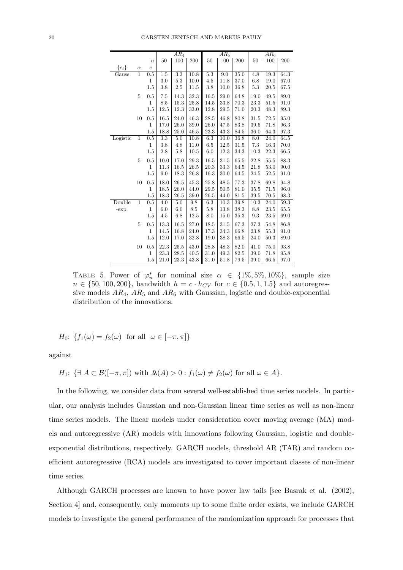|           |                |                  |                  | $AR_4$           |      |         | $AR_5$ |          |      | $AR_6$ |      |
|-----------|----------------|------------------|------------------|------------------|------|---------|--------|----------|------|--------|------|
|           |                | $\boldsymbol{n}$ | 50               | 100              | 200  | 50      | 100    | 200      | 50   | 100    | 200  |
| $\{e_t\}$ | $\alpha$       | $\overline{c}$   |                  |                  |      |         |        |          |      |        |      |
| Gauss     | $\mathbf{1}$   | 0.5              | 1.5              | $\overline{3.3}$ | 10.8 | $5.3\,$ | 9.0    | 35.0     | 4.8  | 19.3   | 64.3 |
|           |                | $\mathbf{1}$     | 3.0              | 5.3              | 10.0 | 4.5     | 11.8   | 37.0     | 6.8  | 19.0   | 67.0 |
|           |                | 1.5              | 3.8              | 2.5              | 11.5 | 3.8     | 10.0   | 36.8     | 5.3  | 20.5   | 67.5 |
|           | 5              | 0.5              | 7.5              | 14.3             | 32.3 | 16.5    | 29.0   | 64.8     | 19.0 | 49.5   | 89.0 |
|           |                | $\mathbf{1}$     | 8.5              | 15.3             | 25.8 | 14.5    | 33.8   | 70.3     | 23.3 | 51.5   | 91.0 |
|           |                | 1.5              | 12.5             | 12.3             | 33.0 | 12.8    | 29.5   | 71.0     | 20.3 | 48.3   | 89.3 |
|           | 10             | 0.5              | 16.5             | 24.0             | 46.3 | 28.5    | 46.8   | 80.8     | 31.5 | 72.5   | 95.0 |
|           |                | $\mathbf{1}$     | 17.0             | 26.0             | 39.0 | 26.0    | 47.5   | 83.8     | 39.5 | 71.8   | 96.3 |
|           |                | 1.5              | 18.8             | 25.0             | 46.5 | 23.3    | 43.3   | 84.5     | 36.0 | 64.3   | 97.3 |
| Logistic  | $\overline{1}$ | $0.\overline{5}$ | $\overline{3.3}$ | 5.0              | 10.8 | 6.3     | 10.0   | 36.8     | 8.0  | 24.0   | 64.5 |
|           |                | $\mathbf{1}$     | 3.8              | 4.8              | 11.0 | 6.5     | 12.5   | 31.5     | 7.3  | 16.3   | 70.0 |
|           |                | 1.5              | 2.8              | 5.8              | 10.5 | 6.0     | 12.3   | 34.3     | 10.3 | 22.3   | 66.5 |
|           | 5              | 0.5              | 10.0             | 17.0             | 29.3 | 16.5    | 31.5   | 65.5     | 22.8 | 55.5   | 88.3 |
|           |                | $\mathbf{1}$     | 11.3             | 16.5             | 26.5 | 20.3    | 33.3   | 64.5     | 21.8 | 53.0   | 90.0 |
|           |                | 1.5              | 9.0              | 18.3             | 26.8 | 16.3    | 30.0   | 64.5     | 24.5 | 52.5   | 91.0 |
|           | 10             | 0.5              | 18.0             | 26.5             | 45.3 | 25.8    | 48.5   | 77.3     | 37.8 | 69.8   | 94.8 |
|           |                | $\mathbf{1}$     | 18.5             | 26.0             | 44.0 | 29.5    | 50.5   | 81.0     | 35.5 | 71.5   | 96.0 |
|           |                | 1.5              | 18.3             | 26.5             | 39.0 | 26.5    | 44.0   | 81.5     | 39.5 | 70.5   | 98.3 |
| Double    | $\overline{1}$ | 0.5              | 4.0              | 5.0              | 9.8  | 6.3     | 10.3   | 39.8     | 10.3 | 24.0   | 59.3 |
| -exp.     |                | $\mathbf{1}$     | 6.0              | 6.0              | 8.5  | 5.8     | 13.8   | 38.3     | 8.8  | 23.5   | 65.5 |
|           |                | 1.5              | 4.5              | 6.8              | 12.5 | 8.0     | 15.0   | $35.3\,$ | 9.3  | 23.5   | 69.0 |
|           | 5              | 0.5              | 13.3             | 16.5             | 27.0 | 18.5    | 31.5   | 67.3     | 27.3 | 54.8   | 86.8 |
|           |                | $\mathbf{1}$     | 14.5             | 16.8             | 24.0 | 17.3    | 34.3   | 66.8     | 23.8 | 55.3   | 91.0 |
|           |                | 1.5              | 12.0             | 17.0             | 32.8 | 19.0    | 38.3   | 66.5     | 24.0 | 50.3   | 89.0 |
|           | 10             | 0.5              | 22.3             | 25.5             | 43.0 | 28.8    | 48.3   | 82.0     | 41.0 | 75.0   | 93.8 |
|           |                | $\mathbf{1}$     | 23.3             | 28.5             | 40.5 | 31.0    | 49.3   | 82.5     | 39.0 | 71.8   | 95.8 |
|           |                | 1.5              | 21.0             | 23.3             | 43.8 | 31.0    | 51.8   | 79.5     | 39.0 | 66.5   | 97.0 |

TABLE 5. Power of  $\varphi_n^*$  for nominal size  $\alpha \in \{1\%, 5\%, 10\%\},$  sample size  $n \in \{50, 100, 200\}$ , bandwidth  $h = c \cdot h_{CV}$  for  $c \in \{0.5, 1, 1.5\}$  and autoregressive models  $AR_4$ ,  $AR_5$  and  $AR_6$  with Gaussian, logistic and double-exponential distribution of the innovations.

$$
H_0: \{f_1(\omega) = f_2(\omega) \text{ for all } \omega \in [-\pi, \pi] \}
$$

against

$$
H_1: \{ \exists A \subset \mathcal{B}([-\pi,\pi]) \text{ with } \lambda(A) > 0 : f_1(\omega) \neq f_2(\omega) \text{ for all } \omega \in A \}.
$$

In the following, we consider data from several well-established time series models. In particular, our analysis includes Gaussian and non-Gaussian linear time series as well as non-linear time series models. The linear models under consideration cover moving average (MA) models and autoregressive (AR) models with innovations following Gaussian, logistic and doubleexponential distributions, respectively. GARCH models, threshold AR (TAR) and random coefficient autoregressive (RCA) models are investigated to cover important classes of non-linear time series.

Although GARCH processes are known to have power law tails [see Basrak et al. (2002), Section 4] and, consequently, only moments up to some finite order exists, we include GARCH models to investigate the general performance of the randomization approach for processes that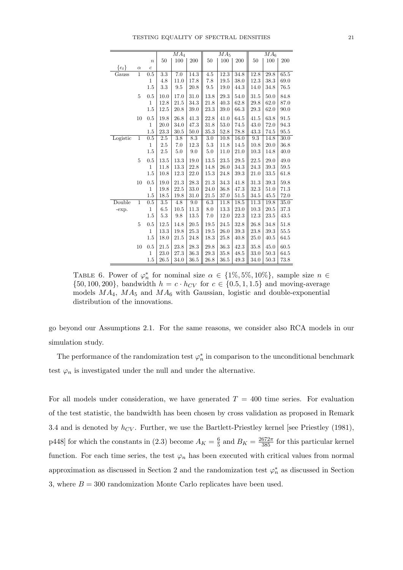|           |                |                  |                  | MA <sub>4</sub>  |                  |          | MA <sub>5</sub> |          |      | MA <sub>6</sub> |      |
|-----------|----------------|------------------|------------------|------------------|------------------|----------|-----------------|----------|------|-----------------|------|
|           |                | $\boldsymbol{n}$ | 50               | 100              | 200              | 50       | 100             | 200      | 50   | 100             | 200  |
| $\{e_t\}$ | $\alpha$       | $\overline{c}$   |                  |                  |                  |          |                 |          |      |                 |      |
| Gauss     | $\mathbf{1}$   | 0.5              | 3.3              | 7.0              | 14.3             | 4.5      | 12.3            | 34.8     | 12.8 | 29.8            | 65.5 |
|           |                | $\mathbf{1}$     | 4.8              | 11.0             | 17.8             | 7.8      | 19.5            | 38.0     | 12.3 | 38.3            | 69.0 |
|           |                | 1.5              | 3.3              | 9.5              | 20.8             | 9.5      | 19.0            | 44.3     | 14.0 | 34.8            | 76.5 |
|           | 5              | 0.5              | 10.0             | 17.0             | 31.0             | 13.8     | 29.3            | 54.0     | 31.5 | 50.0            | 84.8 |
|           |                | $\mathbf{1}$     | 12.8             | 21.5             | 34.3             | 21.8     | 40.3            | 62.8     | 29.8 | 62.0            | 87.0 |
|           |                | 1.5              | 12.5             | 20.8             | 39.0             | 23.3     | 39.0            | 66.3     | 29.3 | 62.0            | 90.0 |
|           | 10             | 0.5              | 19.8             | 26.8             | 41.3             | 22.8     | 41.0            | 64.5     | 41.5 | 63.8            | 91.5 |
|           |                | $\mathbf{1}$     | 20.0             | 34.0             | 47.3             | 31.8     | 53.0            | 74.5     | 43.0 | 72.0            | 94.3 |
|           |                | 1.5              | 23.3             | 30.5             | 50.0             | $35.3\,$ | 52.8            | $78.8\,$ | 43.3 | 74.5            | 95.5 |
| Logistic  | $\overline{1}$ | 0.5              | 2.5              | $\overline{3.8}$ | 8.3              | 3.0      | 10.8            | 16.0     | 9.3  | 14.8            | 30.0 |
|           |                | $\mathbf{1}$     | 2.5              | 7.0              | 12.3             | 5.3      | 11.8            | 14.5     | 10.8 | 20.0            | 36.8 |
|           |                | 1.5              | $2.5\,$          | 5.0              | 9.0              | 5.0      | 11.0            | $21.0\,$ | 10.3 | 14.8            | 40.0 |
|           | 5              | 0.5              | 13.5             | 13.3             | 19.0             | 13.5     | 23.5            | 29.5     | 22.5 | 29.0            | 49.0 |
|           |                | $\mathbf{1}$     | 11.8             | 13.3             | 22.8             | 14.8     | 26.0            | 34.3     | 24.3 | 39.3            | 59.5 |
|           |                | 1.5              | 10.8             | 12.3             | 22.0             | 15.3     | $24.8\,$        | 39.3     | 21.0 | 33.5            | 61.8 |
|           | 10             | 0.5              | 19.0             | 21.3             | 28.3             | 21.3     | 34.3            | 41.8     | 31.3 | 39.3            | 59.8 |
|           |                | 1                | 19.8             | 22.5             | 33.0             | 24.0     | 36.8            | 47.3     | 32.3 | 51.0            | 71.3 |
|           |                | 1.5              | 18.5             | 19.8             | 31.0             | 21.5     | 37.0            | 51.5     | 34.5 | 45.5            | 72.0 |
| Double    | $\overline{1}$ | 0.5              | $\overline{3.5}$ | 4.8              | $\overline{9.0}$ | 6.3      | 11.8            | 18.5     | 11.3 | 19.8            | 35.0 |
| -exp.     |                | $\mathbf{1}$     | 6.5              | 10.5             | 11.3             | 8.0      | 13.3            | 23.0     | 10.3 | 20.5            | 37.3 |
|           |                | 1.5              | 5.3              | 9.8              | 13.5             | 7.0      | 12.0            | 22.3     | 12.3 | 23.5            | 43.5 |
|           | 5              | 0.5              | 12.5             | 14.8             | 20.5             | 19.5     | 24.5            | 32.8     | 26.8 | 34.8            | 51.8 |
|           |                | $\mathbf{1}$     | 13.3             | 19.8             | 25.3             | 19.5     | 26.0            | 39.3     | 23.8 | 39.3            | 55.5 |
|           |                | 1.5              | 18.0             | 21.5             | 24.8             | 18.3     | 25.8            | 40.8     | 25.0 | 40.5            | 64.5 |
|           | 10             | 0.5              | 21.5             | 23.8             | 28.3             | 29.8     | $36.3\,$        | 42.3     | 35.8 | 45.0            | 60.5 |
|           |                | 1                | 23.0             | 27.3             | 36.3             | 29.3     | 35.8            | 48.5     | 33.0 | 50.3            | 64.5 |
|           |                | 1.5              | 26.5             | 34.0             | 36.5             | 26.8     | 36.5            | 49.3     | 34.0 | 50.3            | 73.8 |

TABLE 6. Power of  $\varphi_n^*$  for nominal size  $\alpha \in \{1\%, 5\%, 10\%\},$  sample size  $n \in$  $\{50, 100, 200\}$ , bandwidth  $h = c \cdot h_{CV}$  for  $c \in \{0.5, 1, 1.5\}$  and moving-average models  $MA<sub>4</sub>$ ,  $MA<sub>5</sub>$  and  $MA<sub>6</sub>$  with Gaussian, logistic and double-exponential distribution of the innovations.

go beyond our Assumptions 2.1. For the same reasons, we consider also RCA models in our simulation study.

The performance of the randomization test  $\varphi_n^*$  in comparison to the unconditional benchmark test  $\varphi_n$  is investigated under the null and under the alternative.

For all models under consideration, we have generated  $T = 400$  time series. For evaluation of the test statistic, the bandwidth has been chosen by cross validation as proposed in Remark 3.4 and is denoted by  $h_{CV}$ . Further, we use the Bartlett-Priestley kernel [see Priestley (1981), p448] for which the constants in (2.3) become  $A_K = \frac{6}{5}$  $\frac{6}{5}$  and  $B_K = \frac{2672\pi}{385}$  for this particular kernel function. For each time series, the test  $\varphi_n$  has been executed with critical values from normal approximation as discussed in Section 2 and the randomization test  $\varphi_n^*$  as discussed in Section 3, where  $B = 300$  randomization Monte Carlo replicates have been used.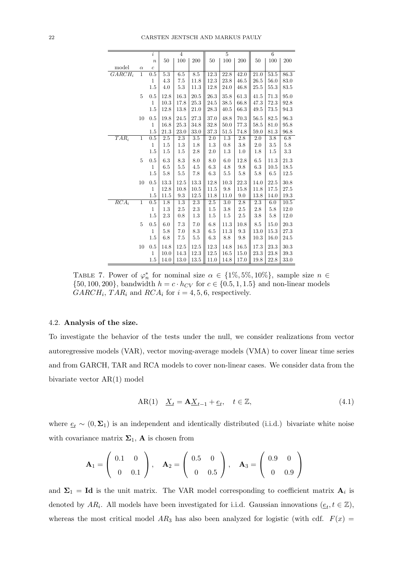|                    |                | i                |                  | $\overline{4}$   |                 |                  | $\overline{5}$   |                  |                  | $6\overline{6}$  |      |
|--------------------|----------------|------------------|------------------|------------------|-----------------|------------------|------------------|------------------|------------------|------------------|------|
|                    |                | $\boldsymbol{n}$ | 50               | 100              | 200             | 50               | 100              | 200              | 50               | $100\,$          | 200  |
| model              | $\alpha$       | $\boldsymbol{c}$ |                  |                  |                 |                  |                  |                  |                  |                  |      |
| $GARCH_i$          | $\mathbf{1}$   | 0.5              | $5.3\,$          | 6.5              | 8.5             | 12.3             | 22.8             | 42.0             | 21.0             | 53.5             | 86.3 |
|                    |                | $\mathbf{1}$     | 4.3              | 7.5              | 11.8            | 12.3             | 23.8             | 46.5             | 26.5             | 56.0             | 83.0 |
|                    |                | 1.5              | 4.0              | 5.3              | 11.3            | 12.8             | 24.0             | 46.8             | 25.5             | 55.3             | 83.5 |
|                    | $\overline{5}$ | 0.5              | 12.8             | 16.3             | 20.5            | 26.3             | 35.8             | 61.3             | 41.5             | 71.3             | 95.0 |
|                    |                | $\mathbf{1}$     | 10.3             | 17.8             | 25.3            | 24.5             | $38.5\,$         | 66.8             | 47.3             | 72.3             | 92.8 |
|                    |                | $1.5\,$          | 12.8             | 13.8             | 21.0            | 28.3             | 40.5             | 66.3             | 49.5             | 73.5             | 94.3 |
|                    | 10             | 0.5              | 19.8             | 24.5             | 27.3            | 37.0             | 48.8             | 70.3             | 56.5             | 82.5             | 96.3 |
|                    |                | $\mathbf{1}$     | 16.8             | 25.3             | 34.8            | 32.8             | 50.0             | 77.3             | 58.5             | 81.0             | 95.8 |
|                    |                | 1.5              | 21.3             | 23.0             | 33.0            | 37.3             | $51.5\,$         | 74.8             | 59.0             | 81.3             | 96.8 |
| $TAR_i$            | $\overline{1}$ | 0.5              | $\overline{2.5}$ | $\overline{2.3}$ | 3.5             | $\overline{2.0}$ | $\overline{1.3}$ | $\overline{2.8}$ | $\overline{2.0}$ | $\overline{3.8}$ | 6.8  |
|                    |                | $\mathbf{1}$     | 1.5              | 1.3              | 1.8             | 1.3              | 0.8              | 3.8              | 2.0              | 3.5              | 5.8  |
|                    |                | 1.5              | 1.5              | 1.5              | $2.8\,$         | $2.0\,$          | 1.3              | 1.0              | 1.8              | 1.5              | 3.3  |
|                    | $\overline{5}$ | 0.5              | 6.3              | 8.3              | 8.0             | 8.0              | 6.0              | 12.8             | 6.5              | 11.3             | 21.3 |
|                    |                | $\mathbf{1}$     | 6.5              | 5.5              | $4.5\,$         | 6.3              | 4.8              | 9.8              | 6.3              | 10.5             | 18.5 |
|                    |                | 1.5              | 5.8              | 5.5              | 7.8             | 6.3              | 5.5              | 5.8              | 5.8              | 6.5              | 12.5 |
|                    | 10             | 0.5              | 13.3             | 12.5             | $13.3\,$        | 12.8             | 10.3             | 22.3             | 14.0             | 22.5             | 30.8 |
|                    |                | $\mathbf{1}$     | 12.8             | 10.8             | 10.5            | 11.5             | 9.8              | 15.8             | 11.8             | 17.5             | 27.5 |
|                    |                | 1.5              | $11.5\,$         | $\rm 9.3$        | 12.5            | 11.8             | 11.0             | 9.0              | 13.8             | 14.0             | 19.3 |
| $\overline{RCA_i}$ | $\overline{1}$ | 0.5              | 1.8              | 1.3              | 2.3             | 2.5              | 3.0              | 2.8              | 2.3              | 6.0              | 10.5 |
|                    |                | $\mathbf{1}$     | 1.3              | 2.5              | $2.3\,$         | 1.5              | 3.8              | 2.5              | 2.8              | 5.8              | 12.0 |
|                    |                | 1.5              | $2.3\,$          | 0.8              | $1.3\,$         | 1.5              | 1.5              | $2.5\,$          | 3.8              | 5.8              | 12.0 |
|                    | $\overline{5}$ | 0.5              | 6.0              | 7.3              | 7.0             | 6.8              | 11.3             | 10.8             | 8.5              | 15.0             | 20.3 |
|                    |                | 1                | 5.8              | 7.0              | $\!\!\!\!\!8.3$ | 6.5              | 11.3             | 9.3              | 13.0             | 15.3             | 27.3 |
|                    |                | 1.5              | 6.8              | 7.5              | $5.5\,$         | 6.3              | 8.8              | 9.8              | 10.3             | 16.0             | 24.5 |
|                    | 10             | $0.5\,$          | 14.8             | 12.5             | 12.5            | 12.3             | 14.8             | 16.5             | 17.3             | 23.3             | 30.3 |
|                    |                | 1                | 10.0             | 14.3             | 12.3            | 12.5             | 16.5             | 15.0             | 23.3             | 23.8             | 39.3 |
|                    |                | 1.5              | 14.0             | 13.0             | 13.5            | 11.0             | 14.8             | 17.0             | 19.8             | 22.8             | 33.0 |

TABLE 7. Power of  $\varphi_n^*$  for nominal size  $\alpha \in \{1\%, 5\%, 10\%\},$  sample size  $n \in$  $\{50, 100, 200\}$ , bandwidth  $h = c \cdot h_{CV}$  for  $c \in \{0.5, 1, 1.5\}$  and non-linear models  $GARCH_i$ ,  $TAR_i$  and  $RCA_i$  for  $i = 4, 5, 6$ , respectively.

### 4.2. Analysis of the size.

To investigate the behavior of the tests under the null, we consider realizations from vector autoregressive models (VAR), vector moving-average models (VMA) to cover linear time series and from GARCH, TAR and RCA models to cover non-linear cases. We consider data from the bivariate vector AR(1) model

AR(1) 
$$
\underline{X}_t = \mathbf{A} \underline{X}_{t-1} + \underline{e}_t, \quad t \in \mathbb{Z},
$$
 (4.1)

where  $\underline{e}_t \sim (0, \Sigma_1)$  is an independent and identically distributed (i.i.d.) bivariate white noise with covariance matrix  $\Sigma_1$ , **A** is chosen from

$$
\mathbf{A}_1 = \left( \begin{array}{cc} 0.1 & 0 \\ 0 & 0.1 \end{array} \right), \quad \mathbf{A}_2 = \left( \begin{array}{cc} 0.5 & 0 \\ 0 & 0.5 \end{array} \right), \quad \mathbf{A}_3 = \left( \begin{array}{cc} 0.9 & 0 \\ 0 & 0.9 \end{array} \right)
$$

and  $\Sigma_1 = \text{Id}$  is the unit matrix. The VAR model corresponding to coefficient matrix  $\mathbf{A}_i$  is denoted by AR<sub>i</sub>. All models have been investigated for i.i.d. Gaussian innovations  $(\underline{e}_t, t \in \mathbb{Z})$ , whereas the most critical model  $AR_3$  has also been analyzed for logistic (with cdf.  $F(x)$ )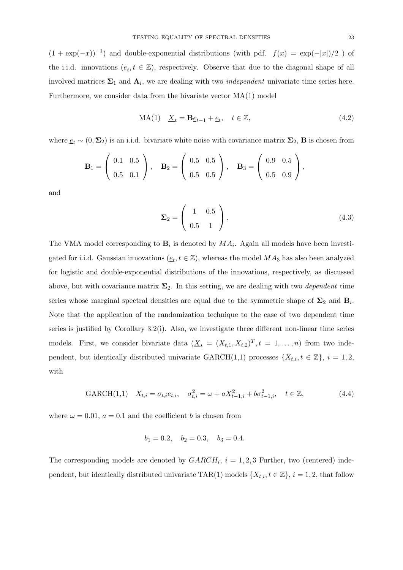$(1 + \exp(-x))^{-1}$  and double-exponential distributions (with pdf.  $f(x) = \exp(-|x|)/2$ ) of the i.i.d. innovations  $(\underline{e}_t, t \in \mathbb{Z})$ , respectively. Observe that due to the diagonal shape of all involved matrices  $\Sigma_1$  and  $\mathbf{A}_i$ , we are dealing with two *independent* univariate time series here. Furthermore, we consider data from the bivariate vector MA(1) model

$$
MA(1) \quad \underline{X}_t = \mathbf{B}\underline{e}_{t-1} + \underline{e}_t, \quad t \in \mathbb{Z},\tag{4.2}
$$

where  $\underline{e}_t \sim (0, \Sigma_2)$  is an i.i.d. bivariate white noise with covariance matrix  $\Sigma_2$ , **B** is chosen from

$$
\mathbf{B}_1 = \left( \begin{array}{cc} 0.1 & 0.5 \\ 0.5 & 0.1 \end{array} \right), \quad \mathbf{B}_2 = \left( \begin{array}{cc} 0.5 & 0.5 \\ 0.5 & 0.5 \end{array} \right), \quad \mathbf{B}_3 = \left( \begin{array}{cc} 0.9 & 0.5 \\ 0.5 & 0.9 \end{array} \right),
$$

and

$$
\Sigma_2 = \left(\begin{array}{cc} 1 & 0.5 \\ 0.5 & 1 \end{array}\right). \tag{4.3}
$$

The VMA model corresponding to  $\mathbf{B}_i$  is denoted by  $MA_i$ . Again all models have been investigated for i.i.d. Gaussian innovations  $(\underline{e}_t, t \in \mathbb{Z})$ , whereas the model  $MA_3$  has also been analyzed for logistic and double-exponential distributions of the innovations, respectively, as discussed above, but with covariance matrix  $\Sigma_2$ . In this setting, we are dealing with two *dependent* time series whose marginal spectral densities are equal due to the symmetric shape of  $\Sigma_2$  and  $B_i$ . Note that the application of the randomization technique to the case of two dependent time series is justified by Corollary 3.2(i). Also, we investigate three different non-linear time series models. First, we consider bivariate data  $(\underline{X}_t = (X_{t,1}, X_{t,2})^T, t = 1, \ldots, n)$  from two independent, but identically distributed univariate GARCH(1,1) processes  $\{X_{t,i}, t \in \mathbb{Z}\}, i = 1, 2$ , with

$$
GARCH(1,1) \quad X_{t,i} = \sigma_{t,i} e_{t,i}, \quad \sigma_{t,i}^2 = \omega + a X_{t-1,i}^2 + b \sigma_{t-1,i}^2, \quad t \in \mathbb{Z}, \tag{4.4}
$$

where  $\omega = 0.01$ ,  $a = 0.1$  and the coefficient b is chosen from

$$
b_1 = 0.2
$$
,  $b_2 = 0.3$ ,  $b_3 = 0.4$ .

The corresponding models are denoted by  $GARCH_i$ ,  $i = 1, 2, 3$  Further, two (centered) independent, but identically distributed univariate TAR(1) models  $\{X_{t,i}, t \in \mathbb{Z}\}, i = 1, 2$ , that follow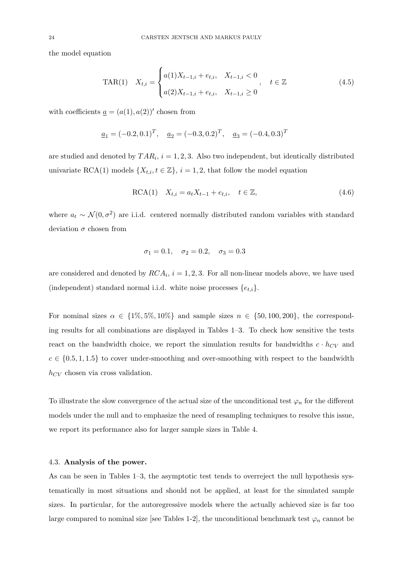the model equation

$$
\text{TAR}(1) \quad X_{t,i} = \begin{cases} a(1)X_{t-1,i} + e_{t,i}, & X_{t-1,i} < 0 \\ a(2)X_{t-1,i} + e_{t,i}, & X_{t-1,i} \ge 0 \end{cases}, \quad t \in \mathbb{Z} \tag{4.5}
$$

with coefficients  $\underline{a} = (a(1), a(2))'$  chosen from

$$
\underline{a}_1 = (-0.2, 0.1)^T
$$
,  $\underline{a}_2 = (-0.3, 0.2)^T$ ,  $\underline{a}_3 = (-0.4, 0.3)^T$ 

are studied and denoted by  $TAR_i$ ,  $i = 1, 2, 3$ . Also two independent, but identically distributed univariate RCA(1) models  $\{X_{t,i}, t \in \mathbb{Z}\}, i = 1, 2$ , that follow the model equation

$$
RCA(1) \quad X_{t,i} = a_t X_{t-1} + e_{t,i}, \quad t \in \mathbb{Z}, \tag{4.6}
$$

where  $a_t \sim \mathcal{N}(0, \sigma^2)$  are i.i.d. centered normally distributed random variables with standard deviation  $\sigma$  chosen from

$$
\sigma_1 = 0.1
$$
,  $\sigma_2 = 0.2$ ,  $\sigma_3 = 0.3$ 

are considered and denoted by  $RCA_i$ ,  $i = 1, 2, 3$ . For all non-linear models above, we have used (independent) standard normal i.i.d. white noise processes  $\{e_{t,i}\}.$ 

For nominal sizes  $\alpha \in \{1\%, 5\%, 10\%\}\$  and sample sizes  $n \in \{50, 100, 200\}\$ , the corresponding results for all combinations are displayed in Tables 1–3. To check how sensitive the tests react on the bandwidth choice, we report the simulation results for bandwidths  $c \cdot h_{CV}$  and  $c \in \{0.5, 1, 1.5\}$  to cover under-smoothing and over-smoothing with respect to the bandwidth  $h_{CV}$  chosen via cross validation.

To illustrate the slow convergence of the actual size of the unconditional test  $\varphi_n$  for the different models under the null and to emphasize the need of resampling techniques to resolve this issue, we report its performance also for larger sample sizes in Table 4.

# 4.3. Analysis of the power.

As can be seen in Tables 1–3, the asymptotic test tends to overreject the null hypothesis systematically in most situations and should not be applied, at least for the simulated sample sizes. In particular, for the autoregressive models where the actually achieved size is far too large compared to nominal size [see Tables 1-2], the unconditional benchmark test  $\varphi_n$  cannot be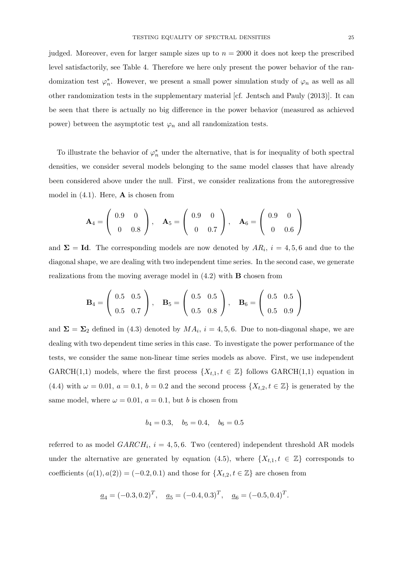judged. Moreover, even for larger sample sizes up to  $n = 2000$  it does not keep the prescribed level satisfactorily, see Table 4. Therefore we here only present the power behavior of the randomization test  $\varphi_n^*$ . However, we present a small power simulation study of  $\varphi_n$  as well as all other randomization tests in the supplementary material [cf. Jentsch and Pauly (2013)]. It can be seen that there is actually no big difference in the power behavior (measured as achieved power) between the asymptotic test  $\varphi_n$  and all randomization tests.

To illustrate the behavior of  $\varphi_n^*$  under the alternative, that is for inequality of both spectral densities, we consider several models belonging to the same model classes that have already been considered above under the null. First, we consider realizations from the autoregressive model in  $(4.1)$ . Here, **A** is chosen from

$$
\mathbf{A}_4 = \left( \begin{array}{cc} 0.9 & 0 \\ 0 & 0.8 \end{array} \right), \quad \mathbf{A}_5 = \left( \begin{array}{cc} 0.9 & 0 \\ 0 & 0.7 \end{array} \right), \quad \mathbf{A}_6 = \left( \begin{array}{cc} 0.9 & 0 \\ 0 & 0.6 \end{array} \right)
$$

and  $\Sigma = Id$ . The corresponding models are now denoted by  $AR_i$ ,  $i = 4, 5, 6$  and due to the diagonal shape, we are dealing with two independent time series. In the second case, we generate realizations from the moving average model in  $(4.2)$  with **B** chosen from

$$
\mathbf{B}_4 = \left(\begin{array}{cc} 0.5 & 0.5 \\ 0.5 & 0.7 \end{array}\right), \quad \mathbf{B}_5 = \left(\begin{array}{cc} 0.5 & 0.5 \\ 0.5 & 0.8 \end{array}\right), \quad \mathbf{B}_6 = \left(\begin{array}{cc} 0.5 & 0.5 \\ 0.5 & 0.9 \end{array}\right)
$$

and  $\Sigma = \Sigma_2$  defined in (4.3) denoted by  $MA_i$ ,  $i = 4, 5, 6$ . Due to non-diagonal shape, we are dealing with two dependent time series in this case. To investigate the power performance of the tests, we consider the same non-linear time series models as above. First, we use independent GARCH(1,1) models, where the first process  $\{X_{t,1}, t \in \mathbb{Z}\}\$  follows GARCH(1,1) equation in (4.4) with  $\omega = 0.01$ ,  $a = 0.1$ ,  $b = 0.2$  and the second process  $\{X_{t,2}, t \in \mathbb{Z}\}\)$  is generated by the same model, where  $\omega = 0.01$ ,  $a = 0.1$ , but b is chosen from

$$
b_4 = 0.3
$$
,  $b_5 = 0.4$ ,  $b_6 = 0.5$ 

referred to as model  $GARCH_i$ ,  $i = 4, 5, 6$ . Two (centered) independent threshold AR models under the alternative are generated by equation (4.5), where  $\{X_{t,1}, t \in \mathbb{Z}\}$  corresponds to coefficients  $(a(1), a(2)) = (-0.2, 0.1)$  and those for  $\{X_{t,2}, t \in \mathbb{Z}\}\)$  are chosen from

$$
\underline{a}_4 = (-0.3, 0.2)^T
$$
,  $\underline{a}_5 = (-0.4, 0.3)^T$ ,  $\underline{a}_6 = (-0.5, 0.4)^T$ .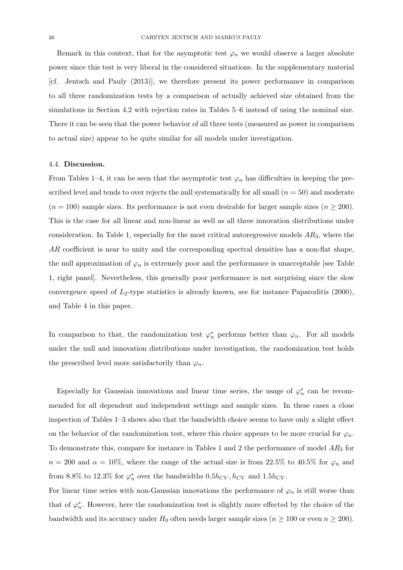Remark in this context, that for the asymptotic test  $\varphi_n$  we would observe a larger absolute power since this test is very liberal in the considered situations. In the supplementary material [cf. Jentsch and Pauly (2013)], we therefore present its power performance in comparison to all three randomization tests by a comparison of actually achieved size obtained from the simulations in Section 4.2 with rejection rates in Tables 5–6 instead of using the nominal size. There it can be seen that the power behavior of all three tests (measured as power in comparison to actual size) appear to be quite similar for all models under investigation.

#### 4.4. Discussion.

From Tables 1–4, it can be seen that the asymptotic test  $\varphi_n$  has difficulties in keeping the prescribed level and tends to over rejects the null systematically for all small  $(n = 50)$  and moderate  $(n = 100)$  sample sizes. Its performance is not even desirable for larger sample sizes  $(n \ge 200)$ . This is the case for all linear and non-linear as well as all three innovation distributions under consideration. In Table 1, especially for the most critical autoregressive models  $AR_3$ , where the AR coefficient is near to unity and the corresponding spectral densities has a non-flat shape, the null approximation of  $\varphi_n$  is extremely poor and the performance is unacceptable [see Table 1, right panel]. Nevertheless, this generally poor performance is not surprising since the slow convergence speed of  $L_2$ -type statistics is already known, see for instance Paparoditis (2000), and Table 4 in this paper.

In comparison to that, the randomization test  $\varphi_n^*$  performs better than  $\varphi_n$ . For all models under the null and innovation distributions under investigation, the randomization test holds the prescribed level more satisfactorily than  $\varphi_n$ .

Especially for Gaussian innovations and linear time series, the usage of  $\varphi_n^*$  can be recommended for all dependent and independent settings and sample sizes. In these cases a close inspection of Tables 1–3 shows also that the bandwidth choice seems to have only a slight effect on the behavior of the randomization test, where this choice appears to be more crucial for  $\varphi_n$ . To demonstrate this, compare for instance in Tables 1 and 2 the performance of model  $AR_3$  for  $n = 200$  and  $\alpha = 10\%$ , where the range of the actual size is from 22.5% to 40.5% for  $\varphi_n$  and from 8.8% to 12.3% for  $\varphi_n^*$  over the bandwidths  $0.5h_{CV}$ ,  $h_{CV}$  and  $1.5h_{CV}$ .

For linear time series with non-Gaussian innovations the performance of  $\varphi_n$  is still worse than that of  $\varphi_n^*$ . However, here the randomization test is slightly more effected by the choice of the bandwidth and its accuracy under  $H_0$  often needs larger sample sizes  $(n \ge 100$  or even  $n \ge 200$ ).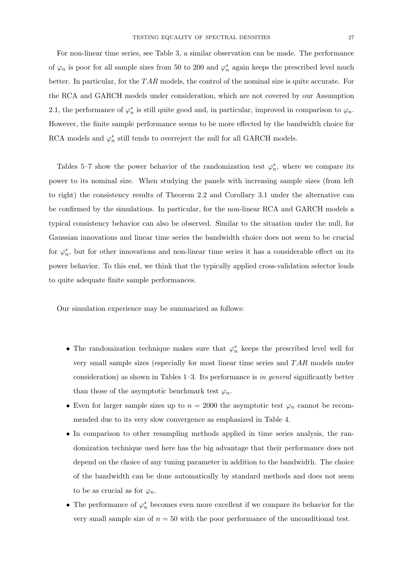For non-linear time series, see Table 3, a similar observation can be made. The performance of  $\varphi_n$  is poor for all sample sizes from 50 to 200 and  $\varphi_n^*$  again keeps the prescribed level much better. In particular, for the  $TAR$  models, the control of the nominal size is quite accurate. For the RCA and GARCH models under consideration, which are not covered by our Assumption 2.1, the performance of  $\varphi_n^*$  is still quite good and, in particular, improved in comparison to  $\varphi_n$ . However, the finite sample performance seems to be more effected by the bandwidth choice for RCA models and  $\varphi_n^*$  still tends to overreject the null for all GARCH models.

Tables 5–7 show the power behavior of the randomization test  $\varphi_n^*$ , where we compare its power to its nominal size. When studying the panels with increasing sample sizes (from left to right) the consistency results of Theorem 2.2 and Corollary 3.1 under the alternative can be confirmed by the simulations. In particular, for the non-linear RCA and GARCH models a typical consistency behavior can also be observed. Similar to the situation under the null, for Gaussian innovations and linear time series the bandwidth choice does not seem to be crucial for  $\varphi_n^*$ , but for other innovations and non-linear time series it has a considerable effect on its power behavior. To this end, we think that the typically applied cross-validation selector leads to quite adequate finite sample performances.

Our simulation experience may be summarized as follows:

- The randomization technique makes sure that  $\varphi_n^*$  keeps the prescribed level well for very small sample sizes (especially for most linear time series and T AR models under consideration) as shown in Tables  $1-3$ . Its performance is in general significantly better than those of the asymptotic benchmark test  $\varphi_n$ .
- Even for larger sample sizes up to  $n = 2000$  the asymptotic test  $\varphi_n$  cannot be recommended due to its very slow convergence as emphasized in Table 4.
- In comparison to other resampling methods applied in time series analysis, the randomization technique used here has the big advantage that their performance does not depend on the choice of any tuning parameter in addition to the bandwidth. The choice of the bandwidth can be done automatically by standard methods and does not seem to be as crucial as for  $\varphi_n$ .
- The performance of  $\varphi_n^*$  becomes even more excellent if we compare its behavior for the very small sample size of  $n = 50$  with the poor performance of the unconditional test.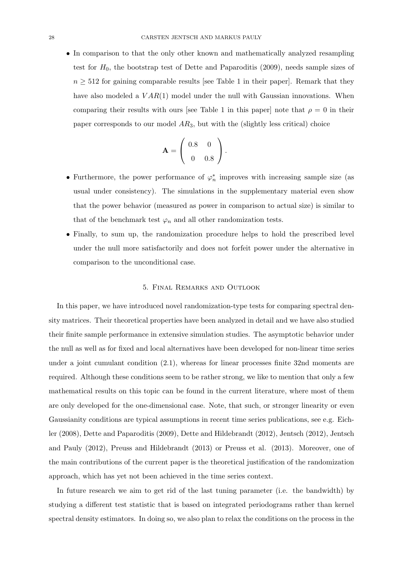• In comparison to that the only other known and mathematically analyzed resampling test for  $H_0$ , the bootstrap test of Dette and Paparoditis  $(2009)$ , needs sample sizes of  $n \geq 512$  for gaining comparable results [see Table 1 in their paper]. Remark that they have also modeled a  $VAR(1)$  model under the null with Gaussian innovations. When comparing their results with ours [see Table 1 in this paper] note that  $\rho = 0$  in their paper corresponds to our model  $AR_3$ , but with the (slightly less critical) choice

$$
\mathbf{A} = \left( \begin{array}{cc} 0.8 & 0 \\ 0 & 0.8 \end{array} \right).
$$

- Furthermore, the power performance of  $\varphi_n^*$  improves with increasing sample size (as usual under consistency). The simulations in the supplementary material even show that the power behavior (measured as power in comparison to actual size) is similar to that of the benchmark test  $\varphi_n$  and all other randomization tests.
- Finally, to sum up, the randomization procedure helps to hold the prescribed level under the null more satisfactorily and does not forfeit power under the alternative in comparison to the unconditional case.

#### 5. Final Remarks and Outlook

In this paper, we have introduced novel randomization-type tests for comparing spectral density matrices. Their theoretical properties have been analyzed in detail and we have also studied their finite sample performance in extensive simulation studies. The asymptotic behavior under the null as well as for fixed and local alternatives have been developed for non-linear time series under a joint cumulant condition (2.1), whereas for linear processes finite 32nd moments are required. Although these conditions seem to be rather strong, we like to mention that only a few mathematical results on this topic can be found in the current literature, where most of them are only developed for the one-dimensional case. Note, that such, or stronger linearity or even Gaussianity conditions are typical assumptions in recent time series publications, see e.g. Eichler (2008), Dette and Paparoditis (2009), Dette and Hildebrandt (2012), Jentsch (2012), Jentsch and Pauly (2012), Preuss and Hildebrandt (2013) or Preuss et al. (2013). Moreover, one of the main contributions of the current paper is the theoretical justification of the randomization approach, which has yet not been achieved in the time series context.

In future research we aim to get rid of the last tuning parameter (i.e. the bandwidth) by studying a different test statistic that is based on integrated periodograms rather than kernel spectral density estimators. In doing so, we also plan to relax the conditions on the process in the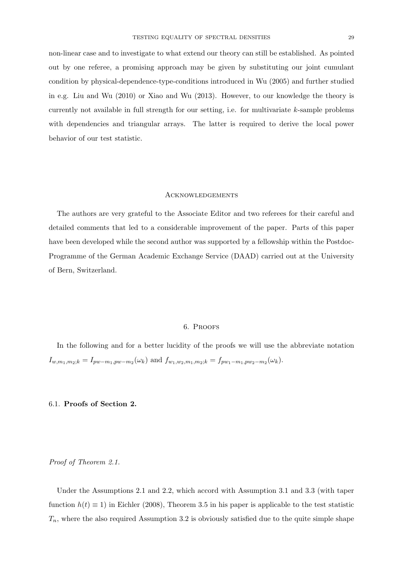non-linear case and to investigate to what extend our theory can still be established. As pointed out by one referee, a promising approach may be given by substituting our joint cumulant condition by physical-dependence-type-conditions introduced in Wu (2005) and further studied in e.g. Liu and Wu (2010) or Xiao and Wu (2013). However, to our knowledge the theory is currently not available in full strength for our setting, i.e. for multivariate  $k$ -sample problems with dependencies and triangular arrays. The latter is required to derive the local power behavior of our test statistic.

#### **ACKNOWLEDGEMENTS**

The authors are very grateful to the Associate Editor and two referees for their careful and detailed comments that led to a considerable improvement of the paper. Parts of this paper have been developed while the second author was supported by a fellowship within the Postdoc-Programme of the German Academic Exchange Service (DAAD) carried out at the University of Bern, Switzerland.

#### 6. Proofs

In the following and for a better lucidity of the proofs we will use the abbreviate notation  $I_{w,m_1,m_2;k} = I_{pw-m_1,pw-m_2}(\omega_k)$  and  $f_{w_1,w_2,m_1,m_2;k} = f_{pw_1-m_1,pw_2-m_2}(\omega_k)$ .

# 6.1. Proofs of Section 2.

Proof of Theorem 2.1.

Under the Assumptions 2.1 and 2.2, which accord with Assumption 3.1 and 3.3 (with taper function  $h(t) \equiv 1$ ) in Eichler (2008), Theorem 3.5 in his paper is applicable to the test statistic  $T_n$ , where the also required Assumption 3.2 is obviously satisfied due to the quite simple shape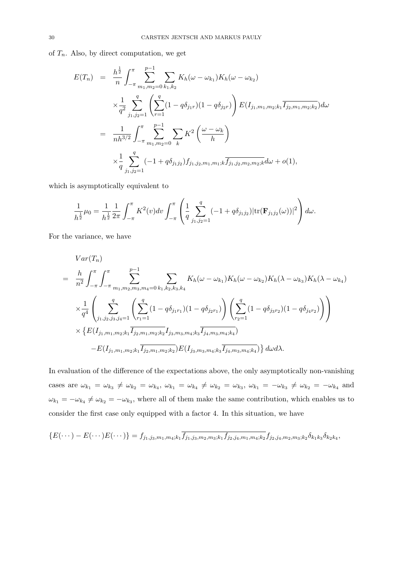of  $T_n$ . Also, by direct computation, we get

$$
E(T_n) = \frac{h^{\frac{1}{2}}}{n} \int_{-\pi}^{\pi} \sum_{m_1, m_2=0}^{p-1} \sum_{k_1, k_2} K_h(\omega - \omega_{k_1}) K_h(\omega - \omega_{k_2})
$$
  

$$
\times \frac{1}{q^2} \sum_{j_1, j_2=1}^{q} \left( \sum_{r=1}^{q} (1 - q \delta_{j_1 r}) (1 - q \delta_{j_2 r}) \right) E(I_{j_1, m_1, m_2; k_1} \overline{I_{j_2, m_1, m_2; k_2}}) d\omega
$$
  

$$
= \frac{1}{nh^{3/2}} \int_{-\pi}^{\pi} \sum_{m_1, m_2=0}^{p-1} \sum_{k} K^2 \left( \frac{\omega - \omega_k}{h} \right)
$$
  

$$
\times \frac{1}{q} \sum_{j_1, j_2=1}^{q} (-1 + q \delta_{j_1 j_2}) f_{j_1, j_2, m_1, m_1; k} \overline{f_{j_1, j_2, m_2, m_2; k}} d\omega + o(1),
$$

which is asymptotically equivalent to

$$
\frac{1}{h^{\frac{1}{2}}}\mu_0 = \frac{1}{h^{\frac{1}{2}}} \frac{1}{2\pi} \int_{-\pi}^{\pi} K^2(v) dv \int_{-\pi}^{\pi} \left( \frac{1}{q} \sum_{j_1,j_2=1}^{q} (-1 + q \delta_{j_1 j_2}) |\text{tr}(\mathbf{F}_{j_1 j_2}(\omega))|^2 \right) d\omega.
$$

For the variance, we have

$$
Var(T_n)
$$
\n
$$
= \frac{h}{n^2} \int_{-\pi}^{\pi} \int_{-\pi}^{\pi} \sum_{m_1, m_2, m_3, m_4=0}^{p-1} \sum_{k_1, k_2, k_3, k_4} K_h(\omega - \omega_{k_1}) K_h(\omega - \omega_{k_2}) K_h(\lambda - \omega_{k_3}) K_h(\lambda - \omega_{k_4})
$$
\n
$$
\times \frac{1}{q^4} \left( \sum_{j_1, j_2, j_3, j_4=1}^{q} \left( \sum_{r_1=1}^{q} (1 - q \delta_{j_1 r_1}) (1 - q \delta_{j_2 r_1}) \right) \left( \sum_{r_2=1}^{q} (1 - q \delta_{j_3 r_2}) (1 - q \delta_{j_4 r_2}) \right) \right)
$$
\n
$$
\times \left\{ E(I_{j_1, m_1, m_2; k_1} \overline{I_{j_2, m_1, m_2; k_2}} I_{j_3, m_3, m_4; k_3} \overline{I_{j_4, m_3, m_4; k_4}} \right\}
$$
\n
$$
-E(I_{j_1, m_1, m_2; k_1} \overline{I_{j_2, m_1, m_2; k_2}}) E(I_{j_3, m_3, m_4; k_3} \overline{I_{j_4, m_3, m_4; k_4}}) d\omega d\lambda.
$$

In evaluation of the difference of the expectations above, the only asymptotically non-vanishing cases are  $\omega_{k_1} = \omega_{k_3} \neq \omega_{k_2} = \omega_{k_4}, \ \omega_{k_1} = \omega_{k_4} \neq \omega_{k_2} = \omega_{k_3}, \ \omega_{k_1} = -\omega_{k_3} \neq \omega_{k_2} = -\omega_{k_4}$  and  $\omega_{k_1} = -\omega_{k_4} \neq \omega_{k_2} = -\omega_{k_3}$ , where all of them make the same contribution, which enables us to consider the first case only equipped with a factor 4. In this situation, we have

$$
\{E(\cdots) - E(\cdots)E(\cdots)\} = f_{j_1, j_3, m_1, m_4; k_1} \overline{f_{j_1, j_3, m_2, m_3; k_1} f_{j_2, j_4, m_1, m_4; k_2}} f_{j_2, j_4, m_2, m_3; k_2} \delta_{k_1 k_3} \delta_{k_2 k_4},
$$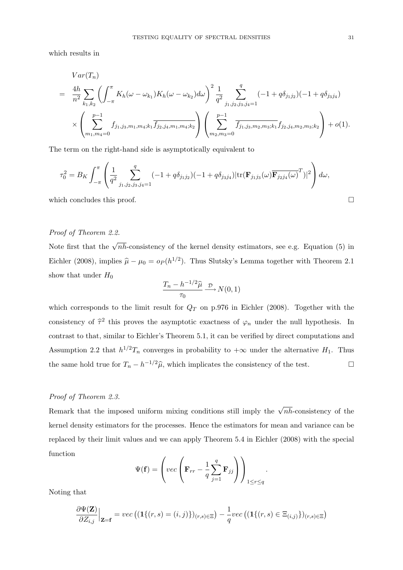which results in

$$
Var(T_n)
$$
\n
$$
= \frac{4h}{n^2} \sum_{k_1,k_2} \left( \int_{-\pi}^{\pi} K_h(\omega - \omega_{k_1}) K_h(\omega - \omega_{k_2}) d\omega \right)^2 \frac{1}{q^2} \sum_{j_1,j_2,j_3,j_4=1}^q (-1 + q \delta_{j_1j_2}) (-1 + q \delta_{j_3j_4})
$$
\n
$$
\times \left( \sum_{m_1,m_4=0}^{p-1} f_{j_1,j_3,m_1,m_4;k_1} \overline{f_{j_2,j_4,m_1,m_4;k_2}} \right) \left( \sum_{m_2,m_3=0}^{p-1} \overline{f_{j_1,j_3,m_2,m_3;k_1}} f_{j_2,j_4,m_2,m_3;k_2} \right) + o(1).
$$

The term on the right-hand side is asymptotically equivalent to

$$
\tau_0^2 = B_K \int_{-\pi}^{\pi} \left( \frac{1}{q^2} \sum_{j_1, j_2, j_3, j_4=1}^q (-1 + q \delta_{j_1 j_2}) (-1 + q \delta_{j_3 j_4}) |\text{tr}(\mathbf{F}_{j_1 j_3}(\omega) \overline{\mathbf{F}_{j_2 j_4}(\omega)}^T)|^2 \right) d\omega,
$$

which concludes this proof.  $\Box$ 

# Proof of Theorem 2.2.

Note first that the  $\sqrt{nh}$ -consistency of the kernel density estimators, see e.g. Equation (5) in Eichler (2008), implies  $\hat{\mu} - \mu_0 = o_P (h^{1/2})$ . Thus Slutsky's Lemma together with Theorem 2.1 show that under  $H_0$ 

$$
\frac{T_n - h^{-1/2}\widehat{\mu}}{\tau_0} \xrightarrow{\mathcal{D}} N(0, 1)
$$

which corresponds to the limit result for  $Q_T$  on p.976 in Eichler (2008). Together with the consistency of  $\hat{\tau}^2$  this proves the asymptotic exactness of  $\varphi_n$  under the null hypothesis. In contrast to that, similar to Eichler's Theorem 5.1, it can be verified by direct computations and Assumption 2.2 that  $h^{1/2}T_n$  converges in probability to  $+\infty$  under the alternative  $H_1$ . Thus the same hold true for  $T_n - h^{-1/2}\hat{\mu}$ , which implicates the consistency of the test.

### Proof of Theorem 2.3.

Remark that the imposed uniform mixing conditions still imply the  $\sqrt{nh}$ -consistency of the kernel density estimators for the processes. Hence the estimators for mean and variance can be replaced by their limit values and we can apply Theorem 5.4 in Eichler (2008) with the special function

$$
\Psi(\mathbf{f}) = \left( vec \left( \mathbf{F}_{rr} - \frac{1}{q} \sum_{j=1}^{q} \mathbf{F}_{jj} \right) \right)_{1 \leq r \leq q}.
$$

Noting that

$$
\frac{\partial \Psi(\mathbf{Z})}{\partial Z_{i,j}}\Big|_{\mathbf{Z}=\mathbf{f}} = vec\left((\mathbf{1}\{(r,s)=(i,j)\})_{(r,s)\in\Xi}\right) - \frac{1}{q} vec\left((\mathbf{1}\{(r,s)\in\Xi_{(i,j)}\})_{(r,s)\in\Xi}\right)
$$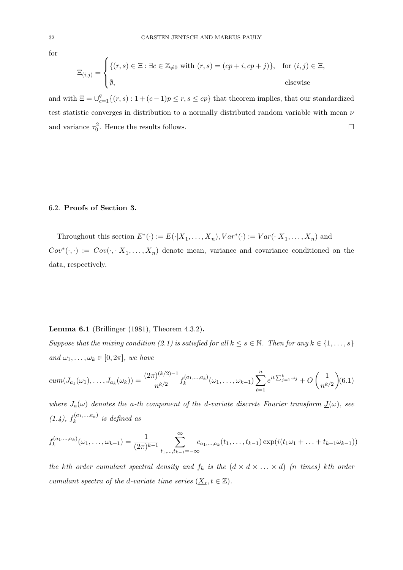for

$$
\Xi_{(i,j)} = \begin{cases} \{(r,s) \in \Xi : \exists c \in \mathbb{Z}_{\neq 0} \text{ with } (r,s) = (cp+i, cp+j)\}, & \text{for } (i,j) \in \Xi, \\ \emptyset, & \text{elsewise} \end{cases}
$$

and with  $\Xi = \bigcup_{c=1}^{q} \{(r, s) : 1 + (c-1)p \leq r, s \leq cp\}$  that theorem implies, that our standardized test statistic converges in distribution to a normally distributed random variable with mean  $\nu$ and variance  $\tau_0^2$ . Hence the results follows.

#### 6.2. Proofs of Section 3.

Throughout this section  $E^*(\cdot) := E(\cdot | \underline{X}_1, \ldots, \underline{X}_n), Var^*(\cdot) := Var(\cdot | \underline{X}_1, \ldots, \underline{X}_n)$  and  $Cov^*(\cdot, \cdot) := Cov(\cdot, \cdot | \underline{X}_1, \ldots, \underline{X}_n)$  denote mean, variance and covariance conditioned on the data, respectively.

### Lemma 6.1 (Brillinger (1981), Theorem 4.3.2).

Suppose that the mixing condition (2.1) is satisfied for all  $k \leq s \in \mathbb{N}$ . Then for any  $k \in \{1, \ldots, s\}$ and  $\omega_1, \ldots, \omega_k \in [0, 2\pi]$ , we have

$$
cum(J_{a_1}(\omega_1),...,J_{a_k}(\omega_k)) = \frac{(2\pi)^{(k/2)-1}}{n^{k/2}} f_k^{(a_1,...,a_k)}(\omega_1,...,\omega_{k-1}) \sum_{t=1}^n e^{it\sum_{j=1}^k \omega_j} + O\left(\frac{1}{n^{k/2}}\right) (6.1)
$$

where  $J_a(\omega)$  denotes the a-th component of the d-variate discrete Fourier transform  $\underline{J}(\omega)$ , see  $(1.4), f_k^{(a_1,...,a_k)}$  $\sum_{k=1}^{\infty}$  is defined as

$$
f_k^{(a_1,...,a_k)}(\omega_1,...,\omega_{k-1}) = \frac{1}{(2\pi)^{k-1}} \sum_{t_1,...,t_{k-1}=-\infty}^{\infty} c_{a_1,...,a_k}(t_1,...,t_{k-1}) \exp(i(t_1\omega_1+...+t_{k-1}\omega_{k-1}))
$$

the kth order cumulant spectral density and  $f_k$  is the  $(d \times d \times ... \times d)$  (n times) kth order cumulant spectra of the d-variate time series  $(\underline{X}_t, t \in \mathbb{Z})$ .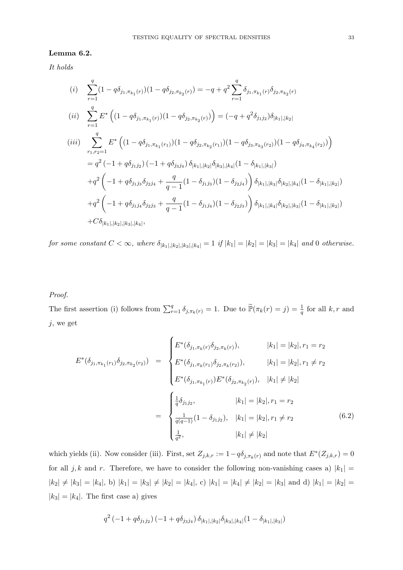#### Lemma 6.2.

It holds

$$
(i) \sum_{r=1}^{q} (1 - q \delta_{j_1, \pi_{k_1}(r)}) (1 - q \delta_{j_2, \pi_{k_2}(r)}) = -q + q^2 \sum_{r=1}^{q} \delta_{j_1, \pi_{k_1}(r)} \delta_{j_2, \pi_{k_2}(r)}
$$
\n
$$
(ii) \sum_{r=1}^{q} E^* \left( (1 - q \delta_{j_1, \pi_{k_1}(r)}) (1 - q \delta_{j_2, \pi_{k_2}(r)}) \right) = (-q + q^2 \delta_{j_1, j_2}) \delta_{|k_1|, |k_2|}
$$
\n
$$
(iii) \sum_{r_1, r_2=1}^{q} E^* \left( (1 - q \delta_{j_1, \pi_{k_1}(r_1)}) (1 - q \delta_{j_2, \pi_{k_2}(r_1)}) (1 - q \delta_{j_3, \pi_{k_3}(r_2)}) (1 - q \delta_{j_4, \pi_{k_4}(r_2)}) \right)
$$
\n
$$
= q^2 (-1 + q \delta_{j_1, j_2}) (-1 + q \delta_{j_3, j_4}) \delta_{|k_1|, |k_2|} \delta_{|k_3|, |k_4|} (1 - \delta_{|k_1|, |k_3|})
$$
\n
$$
+ q^2 \left( -1 + q \delta_{j_1, j_3} \delta_{j_2, j_4} + \frac{q}{q - 1} (1 - \delta_{j_1, j_3}) (1 - \delta_{j_2, j_4}) \right) \delta_{|k_1|, |k_3|} \delta_{|k_2|, |k_4|} (1 - \delta_{|k_1|, |k_2|})
$$
\n
$$
+ q^2 \left( -1 + q \delta_{j_1, j_4} \delta_{j_2, j_3} + \frac{q}{q - 1} (1 - \delta_{j_1, j_4}) (1 - \delta_{j_2, j_3}) \right) \delta_{|k_1|, |k_4|} \delta_{|k_2|, |k_3|} (1 - \delta_{|k_1|, |k_2|})
$$
\n
$$
+ C \delta_{|k_1|, |k_2|, |k_3|, |k_4|},
$$

for some constant  $C < \infty$ , where  $\delta_{|k_1|,|k_2|,|k_3|,|k_4|} = 1$  if  $|k_1| = |k_2| = |k_3| = |k_4|$  and 0 otherwise.

# Proof.

The first assertion (i) follows from  $\sum_{r=1}^{q} \delta_{j,\pi_k(r)} = 1$ . Due to  $\tilde{\mathbb{P}}(\pi_k(r) = j) = \frac{1}{q}$  for all k, r and  $j$ , we get

$$
E^*(\delta_{j_1, \pi_{k_1}(r_1)} \delta_{j_2, \pi_{k_2}(r_2)}) = \begin{cases} E^*(\delta_{j_1, \pi_k(r)} \delta_{j_2, \pi_k(r)}), & |k_1| = |k_2|, r_1 = r_2 \\ E^*(\delta_{j_1, \pi_k(r_1)} \delta_{j_2, \pi_k(r_2)}), & |k_1| = |k_2|, r_1 \neq r_2 \\ E^*(\delta_{j_1, \pi_{k_1}(r)}) E^*(\delta_{j_2, \pi_{k_2}(r)}), & |k_1| \neq |k_2| \end{cases}
$$

$$
= \begin{cases} \frac{1}{q} \delta_{j_1 j_2}, & |k_1| = |k_2|, r_1 = r_2 \\ \frac{1}{q(q-1)}(1 - \delta_{j_1 j_2}), & |k_1| = |k_2|, r_1 \neq r_2 \\ \frac{1}{q^2}, & |k_1| \neq |k_2| \end{cases}
$$
(6.2)

which yields (ii). Now consider (iii). First, set  $Z_{j,k,r} := 1 - q \delta_{j,\pi_k(r)}$  and note that  $E^*(Z_{j,k,r}) = 0$ for all j, k and r. Therefore, we have to consider the following non-vanishing cases a)  $|k_1|$  =  $|k_2| \neq |k_3| = |k_4|$ , b)  $|k_1| = |k_3| \neq |k_2| = |k_4|$ , c)  $|k_1| = |k_4| \neq |k_2| = |k_3|$  and d)  $|k_1| = |k_2|$  $|k_3| = |k_4|$ . The first case a) gives

$$
q^2(-1+q\delta_{j_1j_2})\left(-1+q\delta_{j_3j_4}\right)\delta_{|k_1|,|k_2|}\delta_{|k_3|,|k_4|}(1-\delta_{|k_1|,|k_3|})
$$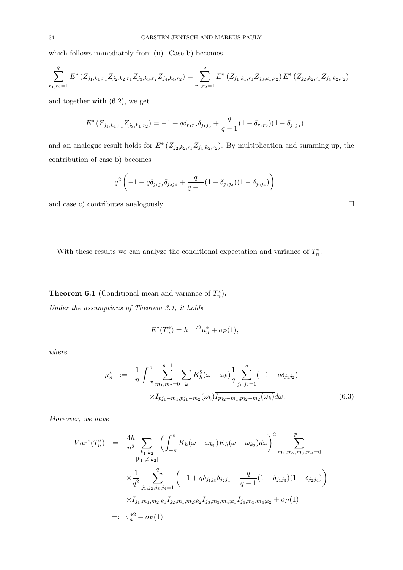which follows immediately from (ii). Case b) becomes

$$
\sum_{r_1,r_2=1}^q E^* \left( Z_{j_1,k_1,r_1} Z_{j_2,k_2,r_1} Z_{j_3,k_3,r_2} Z_{j_4,k_4,r_2} \right) = \sum_{r_1,r_2=1}^q E^* \left( Z_{j_1,k_1,r_1} Z_{j_3,k_1,r_2} \right) E^* \left( Z_{j_2,k_2,r_1} Z_{j_4,k_2,r_2} \right)
$$

and together with (6.2), we get

$$
E^*(Z_{j_1,k_1,r_1}Z_{j_3,k_1,r_2}) = -1 + q\delta_{r_1r_2}\delta_{j_1j_3} + \frac{q}{q-1}(1 - \delta_{r_1r_2})(1 - \delta_{j_1j_3})
$$

and an analogue result holds for  $E^*(Z_{j_2,k_2,r_1}Z_{j_4,k_2,r_2})$ . By multiplication and summing up, the contribution of case b) becomes

$$
q^2 \left(-1 + q \delta_{j_1 j_3} \delta_{j_2 j_4} + \frac{q}{q-1} (1 - \delta_{j_1 j_3}) (1 - \delta_{j_2 j_4})\right)
$$

and case c) contributes analogously.  $\Box$ 

With these results we can analyze the conditional expectation and variance of  $T_n^*$ .

**Theorem 6.1** (Conditional mean and variance of  $T_n^*$ ). Under the assumptions of Theorem 3.1, it holds

$$
E^*(T_n^*) = h^{-1/2}\mu_n^* + o_P(1),
$$

where

$$
\mu_n^* := \frac{1}{n} \int_{-\pi}^{\pi} \sum_{m_1, m_2=0}^{p-1} \sum_k K_h^2(\omega - \omega_k) \frac{1}{q} \sum_{j_1, j_2=1}^q (-1 + q \delta_{j_1 j_2})
$$
  
 
$$
\times I_{p j_1 - m_1, p j_1 - m_2}(\omega_k) \overline{I_{p j_2 - m_1, p j_2 - m_2}(\omega_k)} d\omega.
$$
 (6.3)

Moreover, we have

$$
Var^*(T_n^*) = \frac{4h}{n^2} \sum_{\substack{k_1,k_2 \\ |k_1| \neq |k_2|}} \left( \int_{-\pi}^{\pi} K_h(\omega - \omega_{k_1}) K_h(\omega - \omega_{k_2}) d\omega \right)^2 \sum_{m_1,m_2,m_3,m_4=0}^{p-1}
$$
  

$$
\times \frac{1}{q^2} \sum_{j_1,j_2,j_3,j_4=1}^q \left( -1 + q \delta_{j_1j_3} \delta_{j_2j_4} + \frac{q}{q-1} (1 - \delta_{j_1j_3}) (1 - \delta_{j_2j_4}) \right)
$$
  

$$
\times I_{j_1,m_1,m_2;k_1} \overline{I_{j_2,m_1,m_2;k_2}} I_{j_3,m_3,m_4;k_1} \overline{I_{j_4,m_3,m_4;k_2}} + o_P(1)
$$
  

$$
=: \tau_n^{*2} + o_P(1).
$$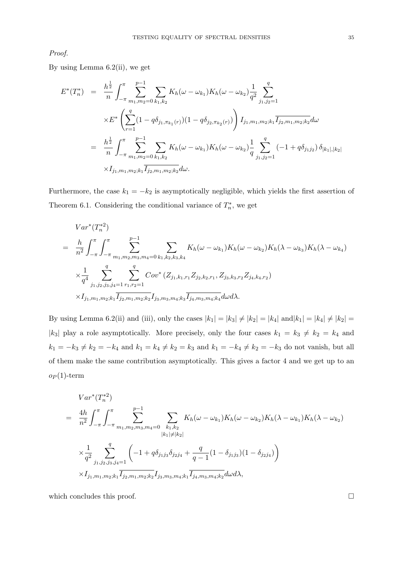Proof.

By using Lemma 6.2(ii), we get

$$
E^*(T_n^*) = \frac{h^{\frac{1}{2}}}{n} \int_{-\pi}^{\pi} \sum_{m_1,m_2=0}^{p-1} \sum_{k_1,k_2} K_h(\omega - \omega_{k_1}) K_h(\omega - \omega_{k_2}) \frac{1}{q^2} \sum_{j_1,j_2=1}^q
$$
  
 
$$
\times E^* \left( \sum_{r=1}^q (1 - q \delta_{j_1,\pi_{k_1}(r)}) (1 - q \delta_{j_2,\pi_{k_2}(r)}) \right) I_{j_1,m_1,m_2;k_1} \overline{I_{j_2,m_1,m_2;k_2}} d\omega
$$
  

$$
= \frac{h^{\frac{1}{2}}}{n} \int_{-\pi}^{\pi} \sum_{m_1,m_2=0}^{p-1} \sum_{k_1,k_2} K_h(\omega - \omega_{k_1}) K_h(\omega - \omega_{k_2}) \frac{1}{q} \sum_{j_1,j_2=1}^q (-1 + q \delta_{j_1j_2}) \delta_{|k_1|,|k_2|}
$$
  

$$
\times I_{j_1,m_1,m_2;k_1} \overline{I_{j_2,m_1,m_2;k_2}} d\omega.
$$

Furthermore, the case  $k_1 = -k_2$  is asymptotically negligible, which yields the first assertion of Theorem 6.1. Considering the conditional variance of  $T_n^*$ , we get

$$
Var^{*}(T_{n}^{*2})
$$
\n
$$
= \frac{h}{n^{2}} \int_{-\pi}^{\pi} \int_{-\pi}^{\pi} \sum_{m_{1}, m_{2}, m_{3}, m_{4}=0}^{p-1} \sum_{k_{1}, k_{2}, k_{3}, k_{4}} K_{h}(\omega - \omega_{k_{1}}) K_{h}(\omega - \omega_{k_{2}}) K_{h}(\lambda - \omega_{k_{3}}) K_{h}(\lambda - \omega_{k_{4}})
$$
\n
$$
\times \frac{1}{q^{4}} \sum_{j_{1}, j_{2}, j_{3}, j_{4}=1}^{q} \sum_{r_{1}, r_{2}=1}^{q} Cov^{*}(Z_{j_{1}, k_{1}, r_{1}} Z_{j_{2}, k_{2}, r_{1}}, Z_{j_{3}, k_{3}, r_{2}} Z_{j_{4}, k_{4}, r_{2}})
$$
\n
$$
\times I_{j_{1}, m_{1}, m_{2}; k_{1}} \overline{I_{j_{2}, m_{1}, m_{2}; k_{2}}} I_{j_{3}, m_{3}, m_{4}; k_{3}} \overline{I_{j_{4}, m_{3}, m_{4}; k_{4}}} d\omega d\lambda.
$$

By using Lemma 6.2(ii) and (iii), only the cases  $|k_1| = |k_3| \neq |k_2| = |k_4|$  and $|k_1| = |k_4| \neq |k_2|$ |k<sub>3</sub>| play a role asymptotically. More precisely, only the four cases  $k_1 = k_3 \neq k_2 = k_4$  and  $k_1 = -k_3 \neq k_2 = -k_4$  and  $k_1 = k_4 \neq k_2 = k_3$  and  $k_1 = -k_4 \neq k_2 = -k_3$  do not vanish, but all of them make the same contribution asymptotically. This gives a factor 4 and we get up to an  $o_P(1)$ -term

$$
Var^{*}(T_{n}^{*2})
$$
\n
$$
= \frac{4h}{n^{2}} \int_{-\pi}^{\pi} \int_{-\pi}^{\pi} \sum_{m_{1}, m_{2}, m_{3}, m_{4}=0}^{p-1} \sum_{k_{1}, k_{2}} K_{h}(\omega - \omega_{k_{1}}) K_{h}(\omega - \omega_{k_{2}}) K_{h}(\lambda - \omega_{k_{1}}) K_{h}(\lambda - \omega_{k_{2}})
$$
\n
$$
\times \frac{1}{q^{2}} \sum_{j_{1}, j_{2}, j_{3}, j_{4}=1}^{q} \left( -1 + q \delta_{j_{1}j_{3}} \delta_{j_{2}j_{4}} + \frac{q}{q-1} (1 - \delta_{j_{1}j_{3}}) (1 - \delta_{j_{2}j_{4}}) \right)
$$
\n
$$
\times I_{j_{1}, m_{1}, m_{2}; k_{1}} \overline{I_{j_{2}, m_{1}, m_{2}; k_{2}} I_{j_{3}, m_{3}, m_{4}; k_{1}} \overline{I_{j_{4}, m_{3}, m_{4}; k_{2}}} d\omega d\lambda,
$$

which concludes this proof.  $\Box$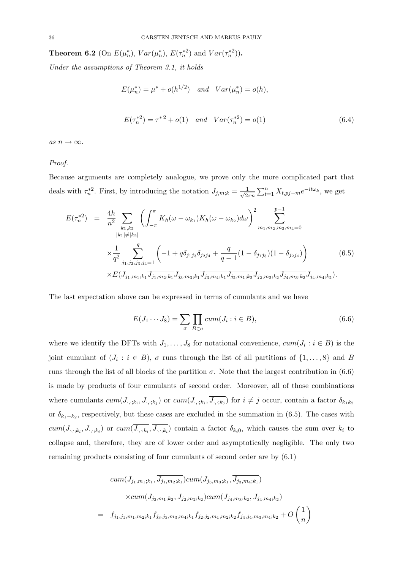**Theorem 6.2** (On  $E(\mu_n^*), Var(\mu_n^*), E(\tau_n^{*2})$  and  $Var(\tau_n^{*2}))$ .

Under the assumptions of Theorem 3.1, it holds

$$
E(\mu_n^*) = \mu^* + o(h^{1/2})
$$
 and  $Var(\mu_n^*) = o(h),$ 

$$
E(\tau_n^{*2}) = \tau^{*2} + o(1) \quad and \quad Var(\tau_n^{*2}) = o(1) \tag{6.4}
$$

as  $n \to \infty$ .

#### Proof.

Because arguments are completely analogue, we prove only the more complicated part that deals with  $\tau_n^{*2}$ . First, by introducing the notation  $J_{j,m;k} = \frac{1}{\sqrt{2k}}$  $\frac{1}{2\pi n} \sum_{t=1}^{n} X_{t,pj-m} e^{-it\omega_k}$ , we get

$$
E(\tau_n^{*2}) = \frac{4h}{n^2} \sum_{\substack{k_1,k_2 \\ |k_1| \neq |k_2|}} \left( \int_{-\pi}^{\pi} K_h(\omega - \omega_{k_1}) K_h(\omega - \omega_{k_2}) d\omega \right)^2 \sum_{m_1,m_2,m_3,m_4=0}^{p-1}
$$
  
 
$$
\times \frac{1}{q^2} \sum_{j_1,j_2,j_3,j_4=1}^q \left( -1 + q \delta_{j_1j_3} \delta_{j_2j_4} + \frac{q}{q-1} (1 - \delta_{j_1j_3}) (1 - \delta_{j_2j_4}) \right) \times E(J_{j_1,m_1;k_1} \overline{J_{j_1,m_2;k_1}} J_{j_3,m_3;k_1} \overline{J_{j_3,m_4;k_1}} J_{j_2,m_1;k_2} J_{j_2,m_2;k_2} \overline{J_{j_4,m_3;k_2}} J_{j_4,m_4;k_2}).
$$
 (6.5)

The last expectation above can be expressed in terms of cumulants and we have

$$
E(J_1 \cdots J_8) = \sum_{\sigma} \prod_{B \in \sigma} cum(J_i : i \in B), \tag{6.6}
$$

where we identify the DFTs with  $J_1, \ldots, J_8$  for notational convenience,  $cum(J_i : i \in B)$  is the joint cumulant of  $(J_i : i \in B)$ ,  $\sigma$  runs through the list of all partitions of  $\{1, \ldots, 8\}$  and B runs through the list of all blocks of the partition  $\sigma$ . Note that the largest contribution in (6.6) is made by products of four cumulants of second order. Moreover, all of those combinations where cumulants  $cum(J_{\cdot,\cdot;k_i},J_{\cdot,\cdot;k_j})$  or  $cum(J_{\cdot,\cdot;k_i},\overline{J_{\cdot,\cdot;k_j}})$  for  $i \neq j$  occur, contain a factor  $\delta_{k_1k_2}$ or  $\delta_{k_1-k_2}$ , respectively, but these cases are excluded in the summation in (6.5). The cases with  $cum(J_{\cdot,\cdot;k_i},J_{\cdot,\cdot;k_i})$  or  $cum(J_{\cdot,\cdot;k_i},J_{\cdot,\cdot;k_i})$  contain a factor  $\delta_{k_i0}$ , which causes the sum over  $k_i$  to collapse and, therefore, they are of lower order and asymptotically negligible. The only two remaining products consisting of four cumulants of second order are by (6.1)

$$
cum(J_{j_1,m_1;k_1}, J_{j_1,m_2;k_1}) cum(J_{j_3,m_3;k_1}, J_{j_3,m_4;k_1})
$$

$$
\times cum(\overline{J_{j_2,m_1;k_2}}, J_{j_2,m_2;k_2}) cum(\overline{J_{j_4,m_3;k_2}}, J_{j_4,m_4;k_2})
$$

$$
= f_{j_1,j_1,m_1,m_2;k_1} f_{j_3,j_3,m_3,m_4;k_1} \overline{f_{j_2,j_2,m_1,m_2;k_2} f_{j_4,j_4,m_3,m_4;k_2}} + O\left(\frac{1}{n}\right)
$$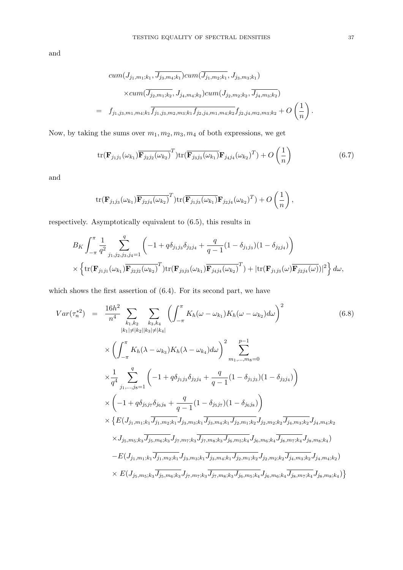and

$$
cum(J_{j_1,m_1;k_1}, \overline{J_{j_3,m_4;k_1}}) cum(\overline{J_{j_1,m_2;k_1}}, J_{j_3,m_3;k_1})
$$

$$
\times cum(\overline{J_{j_2,m_1;k_2}}, J_{j_4,m_4;k_2}) cum(J_{j_2,m_2;k_2}, \overline{J_{j_4,m_3;k_2}})
$$

$$
= f_{j_1,j_3,m_1,m_4;k_1} \overline{f_{j_1,j_3,m_2,m_3;k_1} f_{j_2,j_4,m_1,m_4;k_2} f_{j_2,j_4,m_2,m_3;k_2} + O\left(\frac{1}{n}\right).
$$

Now, by taking the sums over  $m_1, m_2, m_3, m_4$  of both expressions, we get

$$
\operatorname{tr}(\mathbf{F}_{j_1j_1}(\omega_{k_1}) \overline{\mathbf{F}_{j_2j_2}(\omega_{k_2})}^T) \operatorname{tr}(\overline{\mathbf{F}_{j_3j_3}(\omega_{k_1})} \mathbf{F}_{j_4j_4}(\omega_{k_2})^T) + O\left(\frac{1}{n}\right)
$$
(6.7)

and

$$
\operatorname{tr}(\mathbf{F}_{j_1j_3}(\omega_{k_1})\overline{\mathbf{F}_{j_2j_4}(\omega_{k_2})}^T)\operatorname{tr}(\overline{\mathbf{F}_{j_1j_3}(\omega_{k_1})}\mathbf{F}_{j_2j_4}(\omega_{k_2})^T)+O\left(\frac{1}{n}\right),
$$

respectively. Asymptotically equivalent to (6.5), this results in

$$
B_K \int_{-\pi}^{\pi} \frac{1}{q^2} \sum_{j_1,j_2,j_3,j_4=1}^{q} \left( -1 + q \delta_{j_1 j_3} \delta_{j_2 j_4} + \frac{q}{q-1} (1 - \delta_{j_1 j_3}) (1 - \delta_{j_2 j_4}) \right) \times \left\{ \text{tr}(\mathbf{F}_{j_1 j_1}(\omega_{k_1}) \overline{\mathbf{F}_{j_2 j_2}(\omega_{k_2})}^T) \text{tr}(\mathbf{F}_{j_3 j_3}(\omega_{k_1}) \overline{\mathbf{F}_{j_4 j_4}(\omega_{k_2})}^T) + |\text{tr}(\mathbf{F}_{j_1 j_3}(\omega) \overline{\mathbf{F}_{j_2 j_4}(\omega)})|^2 \right\} d\omega,
$$

which shows the first assertion of (6.4). For its second part, we have

$$
Var(\tau_n^{*2}) = \frac{16h^2}{n^4} \sum_{k_1,k_2} \sum_{k_3,k_4} \left( \int_{-\pi}^{\pi} K_h(\omega - \omega_{k_1}) K_h(\omega - \omega_{k_2}) d\omega \right)^2
$$
(6.8)  

$$
\times \left( \int_{-\pi}^{\pi} K_h(\lambda - \omega_{k_3}) K_h(\lambda - \omega_{k_4}) d\omega \right)^2 \sum_{m_1,\dots,m_8=0}^{p-1}
$$
  

$$
\times \frac{1}{q^4} \sum_{j_1,\dots,j_8=1}^q \left( -1 + q \delta_{j_1 j_3} \delta_{j_2 j_4} + \frac{q}{q-1} (1 - \delta_{j_1 j_3}) (1 - \delta_{j_2 j_4}) \right)
$$
  

$$
\times \left( -1 + q \delta_{j_5 j_7} \delta_{j_6 j_8} + \frac{q}{q-1} (1 - \delta_{j_5 j_7}) (1 - \delta_{j_6 j_8}) \right)
$$
  

$$
\times \left\{ E(J_{j_1,m_1;k_1} \overline{J_{j_1,m_2;k_1}} J_{j_3,m_3;k_1} \overline{J_{j_3,m_4;k_1}} J_{j_2,m_1;k_2} \overline{J_{j_2,m_2;k_2}} \overline{J_{j_4,m_3;k_2}} J_{j_4,m_4;k_2}
$$
  

$$
\times J_{j_5,m_5;k_3} \overline{J_{j_5,m_6;k_3}} J_{j_7,m_7;k_3} \overline{J_{j_7,m_5;k_3}} J_{j_8,m_5;k_4} J_{j_6,m_6;k_4} \overline{J_{j_8,m_7;k_4}} J_{j_8,m_8;k_4}
$$
  

$$
-E(J_{j_1,m_1;k_1} \overline{J_{j_1,m_2;k_1}} J_{j_3,m_3;k_1} \overline{J_{j_3,m_4;k_1}} J_{j_2,m_1;k_2} J_{j_2,m_2;k_2} \overline{J_{j_4,m_3;k_2}} J_{j_4,m_4;k_2})
$$
  

$$
\times E(J_{j_5,m_5;k_3} \overline{J_{j_5,m_6;k_3}} J_{j_7,m_7;k_3} \over
$$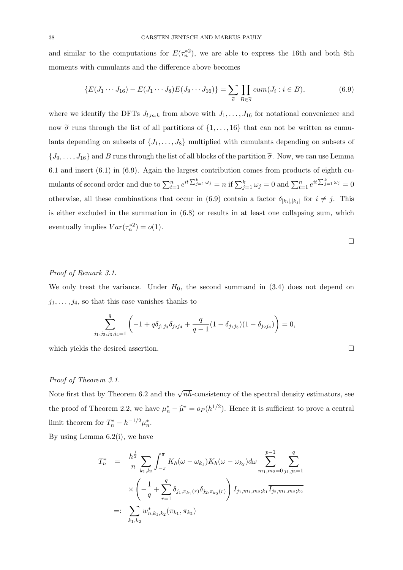and similar to the computations for  $E(\tau_n^{*2})$ , we are able to express the 16th and both 8th moments with cumulants and the difference above becomes

$$
\{E(J_1\cdots J_{16})-E(J_1\cdots J_8)E(J_9\cdots J_{16})\}=\sum_{\tilde{\sigma}}\prod_{B\in\tilde{\sigma}}cum(J_i:i\in B),\tag{6.9}
$$

where we identify the DFTs  $J_{l,m;k}$  from above with  $J_1, \ldots, J_{16}$  for notational convenience and now  $\tilde{\sigma}$  runs through the list of all partitions of  $\{1, \ldots, 16\}$  that can not be written as cumulants depending on subsets of  $\{J_1, \ldots, J_8\}$  multiplied with cumulants depending on subsets of  $\{J_9,\ldots,J_{16}\}\$  and B runs through the list of all blocks of the partition  $\tilde{\sigma}$ . Now, we can use Lemma 6.1 and insert (6.1) in (6.9). Again the largest contribution comes from products of eighth cumulants of second order and due to  $\sum_{t=1}^{n} e^{it \sum_{j=1}^{k} \omega_j} = n$  if  $\sum_{j=1}^{k} \omega_j = 0$  and  $\sum_{t=1}^{n} e^{it \sum_{j=1}^{k} \omega_j} = 0$ otherwise, all these combinations that occur in (6.9) contain a factor  $\delta_{|k_i|,|k_j|}$  for  $i \neq j$ . This is either excluded in the summation in (6.8) or results in at least one collapsing sum, which eventually implies  $Var(\tau_n^{*2}) = o(1)$ .

### Proof of Remark 3.1.

We only treat the variance. Under  $H_0$ , the second summand in (3.4) does not depend on  $j_1, \ldots, j_4$ , so that this case vanishes thanks to

$$
\sum_{j_1,j_2,j_3,j_4=1}^q \left(-1+q\delta_{j_1j_3}\delta_{j_2j_4}+\frac{q}{q-1}(1-\delta_{j_1j_3})(1-\delta_{j_2j_4})\right)=0,
$$

which yields the desired assertion.

# Proof of Theorem 3.1.

Note first that by Theorem 6.2 and the  $\sqrt{nh}$ -consistency of the spectral density estimators, see the proof of Theorem 2.2, we have  $\mu_n^* - \hat{\mu}^* = o_P(h^{1/2})$ . Hence it is sufficient to prove a central limit theorem for  $T_n^* - h^{-1/2} \mu_n^*$ .

By using Lemma 6.2(i), we have

$$
T_n^* = \frac{h^{\frac{1}{2}}}{n} \sum_{k_1, k_2} \int_{-\pi}^{\pi} K_h(\omega - \omega_{k_1}) K_h(\omega - \omega_{k_2}) d\omega \sum_{m_1, m_2 = 0}^{p-1} \sum_{j_1, j_2 = 1}^{q}
$$
  
 
$$
\times \left( -\frac{1}{q} + \sum_{r=1}^{q} \delta_{j_1, \pi_{k_1}(r)} \delta_{j_2, \pi_{k_2}(r)} \right) I_{j_1, m_1, m_2; k_1} \overline{I_{j_2, m_1, m_2; k_2}}
$$
  
=: 
$$
\sum_{k_1, k_2} w_{n, k_1, k_2}^*(\pi_{k_1}, \pi_{k_2})
$$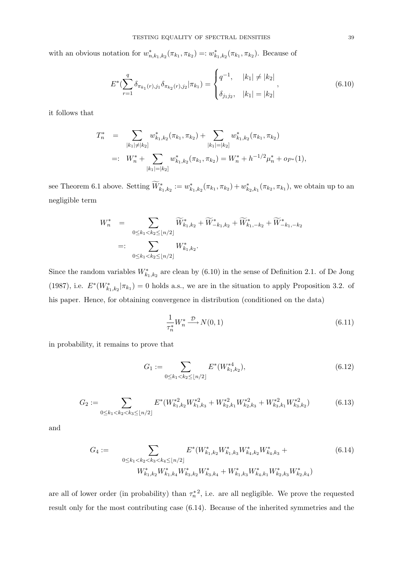with an obvious notation for  $w_{n,k_1,k_2}^*(\pi_{k_1}, \pi_{k_2}) =: w_{k_1,k_2}^*(\pi_{k_1}, \pi_{k_2})$ . Because of

$$
E^*(\sum_{r=1}^q \delta_{\pi_{k_1}(r),j_1} \delta_{\pi_{k_2}(r),j_2} | \pi_{k_1}) = \begin{cases} q^{-1}, & |k_1| \neq |k_2| \\ \delta_{j_1j_2}, & |k_1| = |k_2| \end{cases}
$$
 (6.10)

it follows that

$$
T_n^* = \sum_{|k_1| \neq |k_2|} w_{k_1,k_2}^*(\pi_{k_1}, \pi_{k_2}) + \sum_{|k_1| = |k_2|} w_{k_1,k_2}^*(\pi_{k_1}, \pi_{k_2})
$$
  

$$
=: W_n^* + \sum_{|k_1| = |k_2|} w_{k_1,k_2}^*(\pi_{k_1}, \pi_{k_2}) = W_n^* + h^{-1/2} \mu_n^* + o_{P^*}(1),
$$

see Theorem 6.1 above. Setting  $\widetilde{W}^*_{k_1,k_2} := w^*_{k_1,k_2}(\pi_{k_1}, \pi_{k_2}) + w^*_{k_2,k_1}(\pi_{k_2}, \pi_{k_1})$ , we obtain up to an negligible term

$$
W_n^* = \sum_{0 \le k_1 < k_2 \le \lfloor n/2 \rfloor} \widetilde{W}_{k_1, k_2}^* + \widetilde{W}_{-k_1, k_2}^* + \widetilde{W}_{k_1, -k_2}^* + \widetilde{W}_{-k_1, -k_2}^*
$$
\n
$$
=: \sum_{0 \le k_1 < k_2 \le \lfloor n/2 \rfloor} W_{k_1, k_2}^*.
$$

Since the random variables  $W^*_{k_1,k_2}$  are clean by (6.10) in the sense of Definition 2.1. of De Jong (1987), i.e.  $E^*(W^*_{k_1,k_2}|\pi_{k_1})=0$  holds a.s., we are in the situation to apply Proposition 3.2. of his paper. Hence, for obtaining convergence in distribution (conditioned on the data)

$$
\frac{1}{\tau_n^*} W_n^* \xrightarrow{\mathcal{D}} N(0, 1) \tag{6.11}
$$

in probability, it remains to prove that

$$
G_1 := \sum_{0 \le k_1 < k_2 \le \lfloor n/2 \rfloor} E^*(W_{k_1, k_2}^{*4}),\tag{6.12}
$$

$$
G_2 := \sum_{0 \le k_1 < k_2 < k_3 \le \lfloor n/2 \rfloor} E^*(W_{k_1,k_2}^{*2} W_{k_1,k_3}^{*2} + W_{k_2,k_1}^{*2} W_{k_2,k_3}^{*2} + W_{k_3,k_1}^{*2} W_{k_3,k_2}^{*2}) \tag{6.13}
$$

and

$$
G_4 := \sum_{0 \le k_1 < k_2 < k_3 < k_4 \le \lfloor n/2 \rfloor} E^*(W_{k_1,k_2}^* W_{k_1,k_3}^* W_{k_4,k_2}^* W_{k_4,k_3}^* + \tag{6.14}
$$
\n
$$
W_{k_1,k_2}^* W_{k_1,k_4}^* W_{k_3,k_2}^* W_{k_3,k_4}^* + W_{k_1,k_3}^* W_{k_4,k_1}^* W_{k_2,k_3}^* W_{k_2,k_4}^*)
$$

are all of lower order (in probability) than  $\tau_n^*{}^2$ , i.e. are all negligible. We prove the requested result only for the most contributing case (6.14). Because of the inherited symmetries and the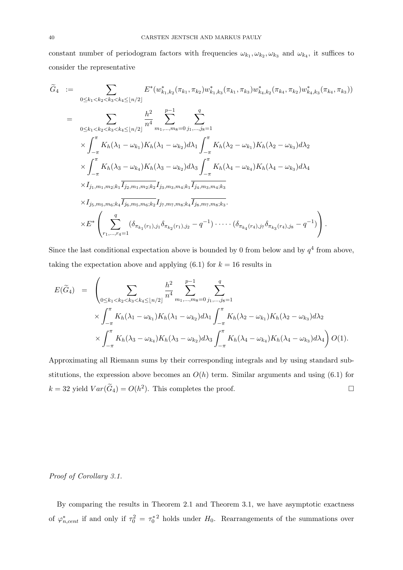constant number of periodogram factors with frequencies  $\omega_{k_1}, \omega_{k_2}, \omega_{k_3}$  and  $\omega_{k_4}$ , it suffices to consider the representative

$$
\widetilde{G}_{4} := \sum_{0 \leq k_{1} < k_{2} < k_{3} < k_{4} \leq \lfloor n/2 \rfloor} E^{*}(w_{k_{1},k_{2}}^{*}(\pi_{k_{1}},\pi_{k_{2}})w_{k_{1},k_{3}}^{*}(\pi_{k_{1}},\pi_{k_{3}})w_{k_{4},k_{2}}^{*}(\pi_{k_{4}},\pi_{k_{2}})w_{k_{4},k_{3}}^{*}(\pi_{k_{4}},\pi_{k_{3}}))
$$
\n
$$
= \sum_{0 \leq k_{1} < k_{2} < k_{3} < k_{4} \leq \lfloor n/2 \rfloor} \frac{h^{2}}{n^{4}} \sum_{m_{1},\ldots,m_{8}=0}^{n-1} \sum_{j_{1},\ldots,j_{8}=1}^{q}
$$
\n
$$
\times \int_{-\pi}^{\pi} K_{h}(\lambda_{1} - \omega_{k_{1}})K_{h}(\lambda_{1} - \omega_{k_{2}})d\lambda_{1} \int_{-\pi}^{\pi} K_{h}(\lambda_{2} - \omega_{k_{1}})K_{h}(\lambda_{2} - \omega_{k_{3}})d\lambda_{2}
$$
\n
$$
\times \int_{-\pi}^{\pi} K_{h}(\lambda_{3} - \omega_{k_{4}})K_{h}(\lambda_{3} - \omega_{k_{2}})d\lambda_{3} \int_{-\pi}^{\pi} K_{h}(\lambda_{4} - \omega_{k_{4}})K_{h}(\lambda_{4} - \omega_{k_{3}})d\lambda_{4}
$$
\n
$$
\times I_{j_{1},m_{1},m_{2};k_{1}} \overline{I_{j_{2},m_{1},m_{2};k_{2}} I_{j_{3},m_{3},m_{4};k_{1}} \overline{I_{j_{4},m_{3},m_{4};k_{3}}}
$$
\n
$$
\times L^{*} \left( \sum_{r_{1},\ldots,r_{4}=1}^{q} (\delta_{\pi_{k_{1}}(r_{1}),j_{1}} \delta_{\pi_{k_{2}}(r_{1}),j_{2}} - q^{-1}) \cdot \cdots (\delta_{\pi_{k_{4}}(r_{4}),j_{7}} \delta_{\pi_{k_{3}}(r_{4}),j_{8}} - q^{-1}) \right).
$$

Since the last conditional expectation above is bounded by 0 from below and by  $q<sup>4</sup>$  from above, taking the expectation above and applying  $(6.1)$  for  $k = 16$  results in

$$
E(\widetilde{G}_{4}) = \left(\sum_{0 \leq k_{1} < k_{2} < k_{3} < k_{4} \leq \lfloor n/2 \rfloor} \frac{h^{2}}{n^{4}} \sum_{m_{1}, \ldots, m_{8} = 0}^{p-1} \sum_{j_{1}, \ldots, j_{8} = 1}^{q} \times \int_{-\pi}^{\pi} K_{h}(\lambda_{1} - \omega_{k_{1}}) K_{h}(\lambda_{1} - \omega_{k_{2}}) d\lambda_{1} \int_{-\pi}^{\pi} K_{h}(\lambda_{2} - \omega_{k_{1}}) K_{h}(\lambda_{2} - \omega_{k_{3}}) d\lambda_{2} \times \int_{-\pi}^{\pi} K_{h}(\lambda_{3} - \omega_{k_{4}}) K_{h}(\lambda_{3} - \omega_{k_{2}}) d\lambda_{3} \int_{-\pi}^{\pi} K_{h}(\lambda_{4} - \omega_{k_{4}}) K_{h}(\lambda_{4} - \omega_{k_{3}}) d\lambda_{4} \right) O(1).
$$

Approximating all Riemann sums by their corresponding integrals and by using standard substitutions, the expression above becomes an  $O(h)$  term. Similar arguments and using (6.1) for  $k = 32$  yield  $Var(\widetilde{G}_4) = O(h^2)$ . This completes the proof.

#### Proof of Corollary 3.1.

By comparing the results in Theorem 2.1 and Theorem 3.1, we have asymptotic exactness of  $\varphi_{n,cent}^*$  if and only if  $\tau_0^2 = {\tau_0^*}^2$  holds under  $H_0$ . Rearrangements of the summations over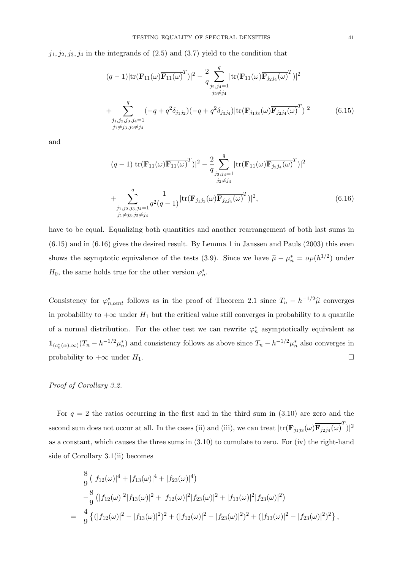$j_1, j_2, j_3, j_4$  in the integrands of  $(2.5)$  and  $(3.7)$  yield to the condition that

$$
(q-1)|\text{tr}(\mathbf{F}_{11}(\omega)\overline{\mathbf{F}_{11}(\omega)}^T)|^2 - \frac{2}{q}\sum_{\substack{j_2,j_4=1 \ j_2 \neq j_4}}^q |\text{tr}(\mathbf{F}_{11}(\omega)\overline{\mathbf{F}_{j_2j_4}(\omega)}^T)|^2
$$
  
+ 
$$
\sum_{\substack{j_1,j_2,j_3,j_4=1 \ j_1 \neq j_3,j_2 \neq j_4}}^q (-q+q^2\delta_{j_1j_2})(-q+q^2\delta_{j_3j_4})|\text{tr}(\mathbf{F}_{j_1j_3}(\omega)\overline{\mathbf{F}_{j_2j_4}(\omega)}^T)|^2
$$
(6.15)

and

$$
(q-1)|\text{tr}(\mathbf{F}_{11}(\omega)\overline{\mathbf{F}_{11}(\omega)}^T)|^2 - \frac{2}{q}\sum_{\substack{j_2,j_4=1 \ j_2 \neq j_4}}^q |\text{tr}(\mathbf{F}_{11}(\omega)\overline{\mathbf{F}_{j_2j_4}(\omega)}^T)|^2
$$
  
+ 
$$
\sum_{\substack{j_1,j_2,j_3,j_4=1 \ j_1 \neq j_3,j_2 \neq j_4}}^q \frac{1}{q^2(q-1)} |\text{tr}(\mathbf{F}_{j_1j_3}(\omega)\overline{\mathbf{F}_{j_2j_4}(\omega)}^T)|^2,
$$
(6.16)

have to be equal. Equalizing both quantities and another rearrangement of both last sums in  $(6.15)$  and in  $(6.16)$  gives the desired result. By Lemma 1 in Janssen and Pauls  $(2003)$  this even shows the asymptotic equivalence of the tests (3.9). Since we have  $\hat{\mu} - \mu_n^* = o_P(h^{1/2})$  under  $H_0$ , the same holds true for the other version  $\varphi_n^*$ .

Consistency for  $\varphi_{n,cent}^*$  follows as in the proof of Theorem 2.1 since  $T_n - h^{-1/2}\hat{\mu}$  converges in probability to  $+\infty$  under  $H_1$  but the critical value still converges in probability to a quantile of a normal distribution. For the other test we can rewrite  $\varphi_n^*$  asymptotically equivalent as  $\mathbf{1}_{(c_n^*(\alpha),\infty)}(T_n - h^{-1/2}\mu_n^*)$  and consistency follows as above since  $T_n - h^{-1/2}\mu_n^*$  also converges in probability to  $+\infty$  under  $H_1$ .

# Proof of Corollary 3.2.

For  $q = 2$  the ratios occurring in the first and in the third sum in  $(3.10)$  are zero and the second sum does not occur at all. In the cases (ii) and (iii), we can treat  $|\text{tr}(\mathbf{F}_{j_1j_3}(\omega)\overline{\mathbf{F}_{j_2j_4}(\omega)}^T)|^2$ as a constant, which causes the three sums in (3.10) to cumulate to zero. For (iv) the right-hand side of Corollary 3.1(ii) becomes

$$
\frac{8}{9} (|f_{12}(\omega)|^4 + |f_{13}(\omega)|^4 + |f_{23}(\omega)|^4)
$$
  
\n
$$
-\frac{8}{9} (|f_{12}(\omega)|^2 |f_{13}(\omega)|^2 + |f_{12}(\omega)|^2 |f_{23}(\omega)|^2 + |f_{13}(\omega)|^2 |f_{23}(\omega)|^2)
$$
  
\n
$$
= \frac{4}{9} \{ (|f_{12}(\omega)|^2 - |f_{13}(\omega)|^2)^2 + (|f_{12}(\omega)|^2 - |f_{23}(\omega)|^2)^2 + (|f_{13}(\omega)|^2 - |f_{23}(\omega)|^2)^2 \},
$$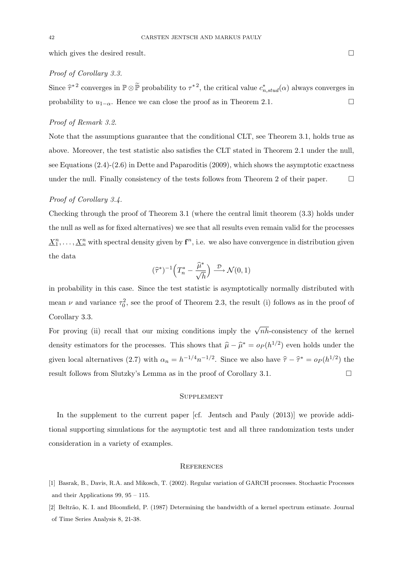which gives the desired result.

### Proof of Corollary 3.3.

Since  $\hat{\tau}^*$  converges in  $\mathbb{P} \otimes \tilde{\mathbb{P}}$  probability to  $\tau^*$ , the critical value  $c^*_{n,stud}(\alpha)$  always converges in probability to  $u_{1-\alpha}$ . Hence we can close the proof as in Theorem 2.1.

# Proof of Remark 3.2.

Note that the assumptions guarantee that the conditional CLT, see Theorem 3.1, holds true as above. Moreover, the test statistic also satisfies the CLT stated in Theorem 2.1 under the null, see Equations (2.4)-(2.6) in Dette and Paparoditis (2009), which shows the asymptotic exactness under the null. Finally consistency of the tests follows from Theorem 2 of their paper.  $\Box$ 

# Proof of Corollary 3.4.

Checking through the proof of Theorem 3.1 (where the central limit theorem (3.3) holds under the null as well as for fixed alternatives) we see that all results even remain valid for the processes  $\underline{X}_1^n, \ldots, \underline{X}_n^n$  with spectral density given by  ${\bf f}^n$ , i.e. we also have convergence in distribution given the data

$$
(\widehat{\tau}^*)^{-1}\Big(T_n^*-\frac{\widehat{\mu}^*}{\sqrt{h}}\Big)\stackrel{\mathcal{D}}{\longrightarrow} \mathcal{N}(0,1)
$$

in probability in this case. Since the test statistic is asymptotically normally distributed with mean  $\nu$  and variance  $\tau_0^2$ , see the proof of Theorem 2.3, the result (i) follows as in the proof of Corollary 3.3.

For proving (ii) recall that our mixing conditions imply the  $\sqrt{nh}$ -consistency of the kernel density estimators for the processes. This shows that  $\hat{\mu} - \hat{\mu}^* = o_P (h^{1/2})$  even holds under the given local alternatives (2.7) with  $\alpha_n = h^{-1/4} n^{-1/2}$ . Since we also have  $\hat{\tau} - \hat{\tau}^* = o_P(h^{1/2})$  the result follows from Slutzky's Lemma as in the proof of Corollary 3.1.  $\Box$ 

### **SUPPLEMENT**

In the supplement to the current paper [cf. Jentsch and Pauly (2013)] we provide additional supporting simulations for the asymptotic test and all three randomization tests under consideration in a variety of examples.

#### **REFERENCES**

- [1] Basrak, B., Davis, R.A. and Mikosch, T. (2002). Regular variation of GARCH processes. Stochastic Processes and their Applications 99, 95 – 115.
- [2] Beltrão, K. I. and Bloomfield, P. (1987) Determining the bandwidth of a kernel spectrum estimate. Journal of Time Series Analysis 8, 21-38.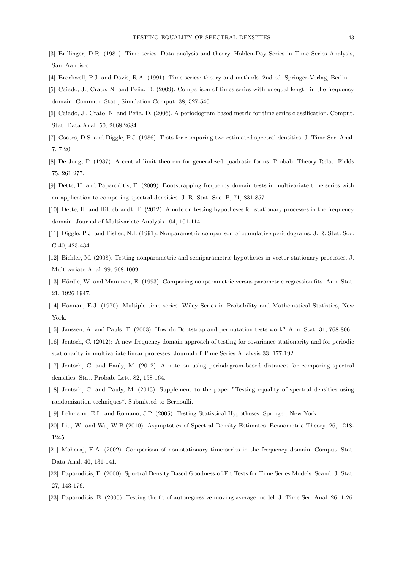- [3] Brillinger, D.R. (1981). Time series. Data analysis and theory. Holden-Day Series in Time Series Analysis, San Francisco.
- [4] Brockwell, P.J. and Davis, R.A. (1991). Time series: theory and methods. 2nd ed. Springer-Verlag, Berlin.
- [5] Caiado, J., Crato, N. and Peña, D. (2009). Comparison of times series with unequal length in the frequency domain. Commun. Stat., Simulation Comput. 38, 527-540.
- [6] Caiado, J., Crato, N. and Peña, D. (2006). A periodogram-based metric for time series classification. Comput. Stat. Data Anal. 50, 2668-2684.
- [7] Coates, D.S. and Diggle, P.J. (1986). Tests for comparing two estimated spectral densities. J. Time Ser. Anal. 7, 7-20.
- [8] De Jong, P. (1987). A central limit theorem for generalized quadratic forms. Probab. Theory Relat. Fields 75, 261-277.
- [9] Dette, H. and Paparoditis, E. (2009). Bootstrapping frequency domain tests in multivariate time series with an application to comparing spectral densities. J. R. Stat. Soc. B, 71, 831-857.
- [10] Dette, H. and Hildebrandt, T. (2012). A note on testing hypotheses for stationary processes in the frequency domain. Journal of Multivariate Analysis 104, 101-114.
- [11] Diggle, P.J. and Fisher, N.I. (1991). Nonparametric comparison of cumulative periodograms. J. R. Stat. Soc. C 40, 423-434.
- [12] Eichler, M. (2008). Testing nonparametric and semiparametric hypotheses in vector stationary processes. J. Multivariate Anal. 99, 968-1009.
- [13] Härdle, W. and Mammen, E. (1993). Comparing nonparametric versus parametric regression fits. Ann. Stat. 21, 1926-1947.
- [14] Hannan, E.J. (1970). Multiple time series. Wiley Series in Probability and Mathematical Statistics, New York.
- [15] Janssen, A. and Pauls, T. (2003). How do Bootstrap and permutation tests work? Ann. Stat. 31, 768-806.
- [16] Jentsch, C. (2012): A new frequency domain approach of testing for covariance stationarity and for periodic stationarity in multivariate linear processes. Journal of Time Series Analysis 33, 177-192.
- [17] Jentsch, C. and Pauly, M. (2012). A note on using periodogram-based distances for comparing spectral densities. Stat. Probab. Lett. 82, 158-164.
- [18] Jentsch, C. and Pauly, M. (2013). Supplement to the paper "Testing equality of spectral densities using randomization techniques". Submitted to Bernoulli.
- [19] Lehmann, E.L. and Romano, J.P. (2005). Testing Statistical Hypotheses. Springer, New York.
- [20] Liu, W. and Wu, W.B (2010). Asymptotics of Spectral Density Estimates. Econometric Theory, 26, 1218- 1245.
- [21] Maharaj, E.A. (2002). Comparison of non-stationary time series in the frequency domain. Comput. Stat. Data Anal. 40, 131-141.
- [22] Paparoditis, E. (2000). Spectral Density Based Goodness-of-Fit Tests for Time Series Models. Scand. J. Stat. 27, 143-176.
- [23] Paparoditis, E. (2005). Testing the fit of autoregressive moving average model. J. Time Ser. Anal. 26, 1-26.